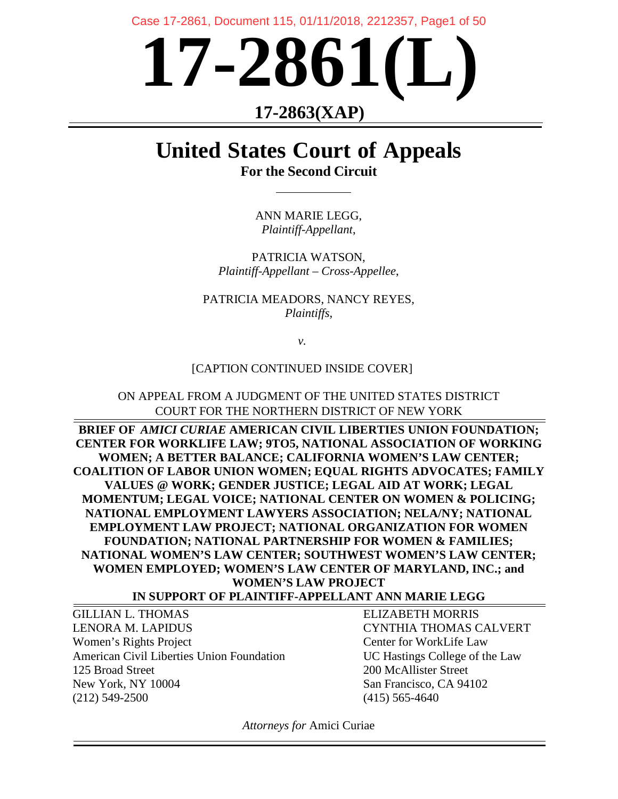Case 17-2861, Document 115, 01/11/2018, 2212357, Page1 of 50



# **17-2863(XAP)**

# **United States Court of Appeals For the Second Circuit**

ANN MARIE LEGG, *Plaintiff-Appellant*,

PATRICIA WATSON, *Plaintiff-Appellant – Cross-Appellee*,

PATRICIA MEADORS, NANCY REYES, *Plaintiffs,*

*v.*

## [CAPTION CONTINUED INSIDE COVER]

ON APPEAL FROM A JUDGMENT OF THE UNITED STATES DISTRICT COURT FOR THE NORTHERN DISTRICT OF NEW YORK

**BRIEF OF** *AMICI CURIAE* **AMERICAN CIVIL LIBERTIES UNION FOUNDATION; CENTER FOR WORKLIFE LAW; 9TO5, NATIONAL ASSOCIATION OF WORKING WOMEN; A BETTER BALANCE; CALIFORNIA WOMEN'S LAW CENTER; COALITION OF LABOR UNION WOMEN; EQUAL RIGHTS ADVOCATES; FAMILY VALUES @ WORK; GENDER JUSTICE; LEGAL AID AT WORK; LEGAL MOMENTUM; LEGAL VOICE; NATIONAL CENTER ON WOMEN & POLICING; NATIONAL EMPLOYMENT LAWYERS ASSOCIATION; NELA/NY; NATIONAL EMPLOYMENT LAW PROJECT; NATIONAL ORGANIZATION FOR WOMEN FOUNDATION; NATIONAL PARTNERSHIP FOR WOMEN & FAMILIES; NATIONAL WOMEN'S LAW CENTER; SOUTHWEST WOMEN'S LAW CENTER; WOMEN EMPLOYED; WOMEN'S LAW CENTER OF MARYLAND, INC.; and WOMEN'S LAW PROJECT**

**IN SUPPORT OF PLAINTIFF-APPELLANT ANN MARIE LEGG**

GILLIAN L. THOMAS ELIZABETH MORRIS LENORA M. LAPIDUS CYNTHIA THOMAS CALVERT Women's Rights Project **Center for WorkLife Law** American Civil Liberties Union Foundation UC Hastings College of the Law 125 Broad Street 200 McAllister Street New York, NY 10004 San Francisco, CA 94102 (212) 549-2500 (415) 565-4640

*Attorneys for* Amici Curiae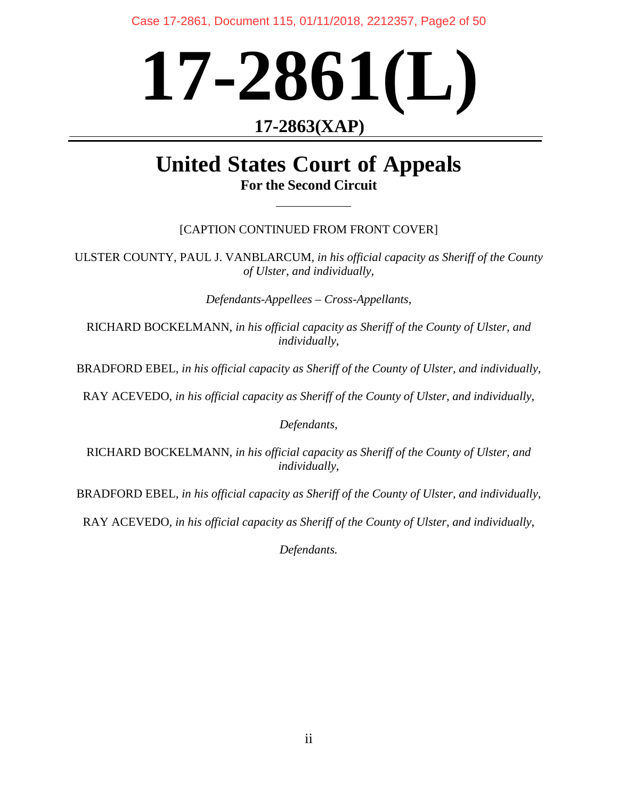Case 17-2861, Document 115, 01/11/2018, 2212357, Page2 of 50

# **17-2861(L)**

# **17-2863(XAP)**

# **United States Court of Appeals For the Second Circuit**

## [CAPTION CONTINUED FROM FRONT COVER]

ULSTER COUNTY, PAUL J. VANBLARCUM, *in his official capacity as Sheriff of the County of Ulster, and individually*,

*Defendants-Appellees – Cross-Appellants*,

RICHARD BOCKELMANN, *in his official capacity as Sheriff of the County of Ulster, and individually*,

BRADFORD EBEL, *in his official capacity as Sheriff of the County of Ulster, and individually*,

RAY ACEVEDO, *in his official capacity as Sheriff of the County of Ulster, and individually*,

*Defendants,*

RICHARD BOCKELMANN, *in his official capacity as Sheriff of the County of Ulster, and individually*,

BRADFORD EBEL, *in his official capacity as Sheriff of the County of Ulster, and individually*,

RAY ACEVEDO, *in his official capacity as Sheriff of the County of Ulster, and individually*,

*Defendants.*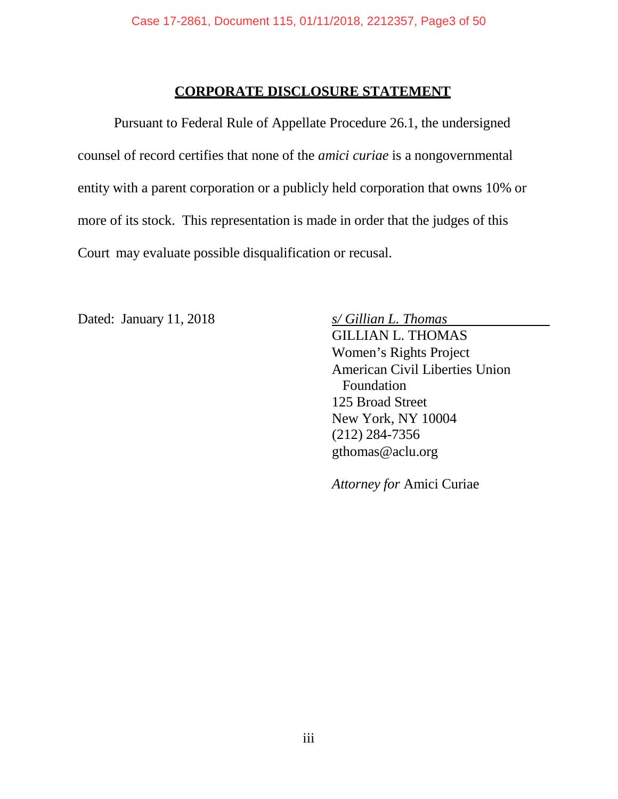## **CORPORATE DISCLOSURE STATEMENT**

Pursuant to Federal Rule of Appellate Procedure 26.1, the undersigned counsel of record certifies that none of the *amici curiae* is a nongovernmental entity with a parent corporation or a publicly held corporation that owns 10% or more of its stock. This representation is made in order that the judges of this Court may evaluate possible disqualification or recusal.

Dated: January 11, 2018 *s/ Gillian L. Thomas*

GILLIAN L. THOMAS Women's Rights Project American Civil Liberties Union Foundation 125 Broad Street New York, NY 10004 (212) 284-7356 [gthomas@aclu.org](mailto:eharrist@nyclu.org)

*Attorney for* Amici Curiae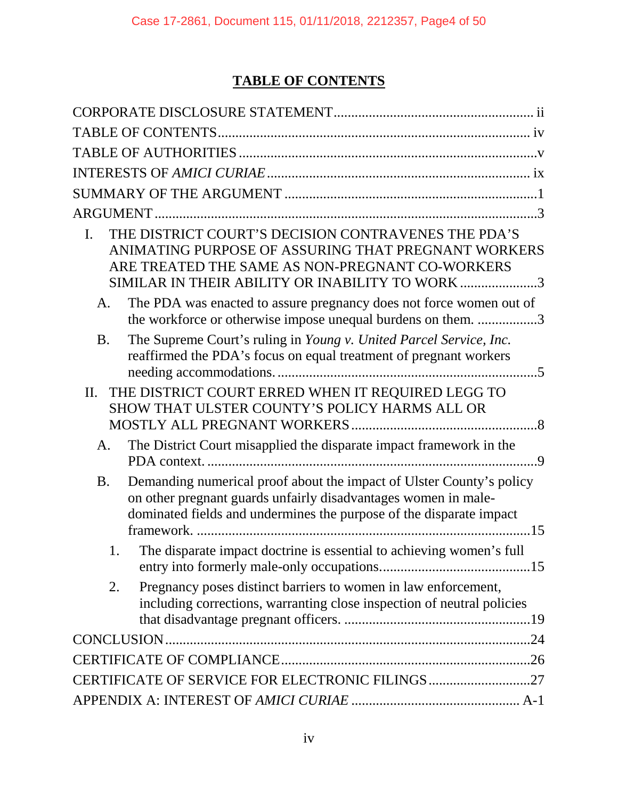# **TABLE OF CONTENTS**

| THE DISTRICT COURT'S DECISION CONTRAVENES THE PDA'S<br>L.<br>ANIMATING PURPOSE OF ASSURING THAT PREGNANT WORKERS<br>ARE TREATED THE SAME AS NON-PREGNANT CO-WORKERS<br>SIMILAR IN THEIR ABILITY OR INABILITY TO WORK 3     |
|----------------------------------------------------------------------------------------------------------------------------------------------------------------------------------------------------------------------------|
| The PDA was enacted to assure pregnancy does not force women out of<br>A.<br>the workforce or otherwise impose unequal burdens on them. 3                                                                                  |
| The Supreme Court's ruling in Young v. United Parcel Service, Inc.<br><b>B.</b><br>reaffirmed the PDA's focus on equal treatment of pregnant workers                                                                       |
| THE DISTRICT COURT ERRED WHEN IT REQUIRED LEGG TO<br>$\Pi$ .<br>SHOW THAT ULSTER COUNTY'S POLICY HARMS ALL OR                                                                                                              |
| The District Court misapplied the disparate impact framework in the<br>A.<br>9                                                                                                                                             |
| Demanding numerical proof about the impact of Ulster County's policy<br><b>B.</b><br>on other pregnant guards unfairly disadvantages women in male-<br>dominated fields and undermines the purpose of the disparate impact |
| The disparate impact doctrine is essential to achieving women's full                                                                                                                                                       |
| Pregnancy poses distinct barriers to women in law enforcement,<br>2.<br>including corrections, warranting close inspection of neutral policies                                                                             |
|                                                                                                                                                                                                                            |
|                                                                                                                                                                                                                            |
| CERTIFICATE OF SERVICE FOR ELECTRONIC FILINGS27                                                                                                                                                                            |
|                                                                                                                                                                                                                            |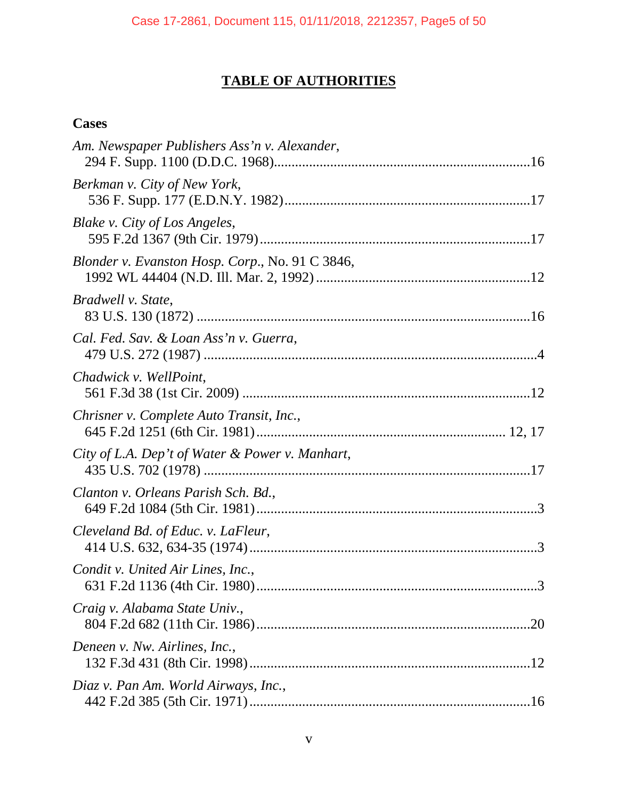# **TABLE OF AUTHORITIES**

## **Cases**

| Am. Newspaper Publishers Ass'n v. Alexander,    |
|-------------------------------------------------|
| Berkman v. City of New York,                    |
| Blake v. City of Los Angeles,                   |
| Blonder v. Evanston Hosp. Corp., No. 91 C 3846, |
| Bradwell v. State,                              |
| Cal. Fed. Sav. & Loan Ass'n v. Guerra,          |
| Chadwick v. WellPoint,                          |
| Chrisner v. Complete Auto Transit, Inc.,        |
| City of L.A. Dep't of Water & Power v. Manhart, |
| Clanton v. Orleans Parish Sch. Bd.,             |
| Cleveland Bd. of Educ. v. LaFleur,              |
| Condit v. United Air Lines, Inc.,               |
| Craig v. Alabama State Univ.,<br>.20            |
| Deneen v. Nw. Airlines, Inc.,                   |
| Diaz v. Pan Am. World Airways, Inc.,            |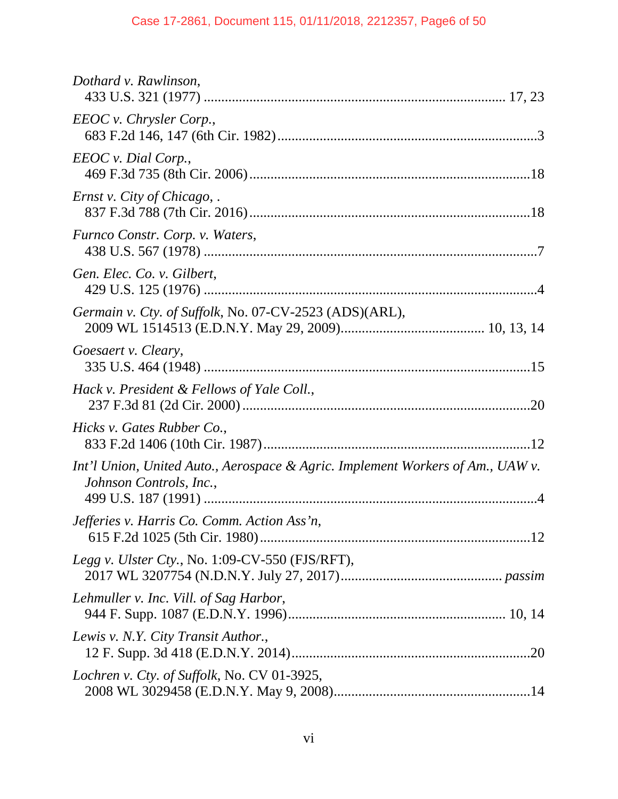| Dothard v. Rawlinson,                                                                                     |
|-----------------------------------------------------------------------------------------------------------|
| EEOC v. Chrysler Corp.,                                                                                   |
| EEOC v. Dial Corp.,                                                                                       |
| <i>Ernst v. City of Chicago,.</i>                                                                         |
| Furnco Constr. Corp. v. Waters,                                                                           |
| Gen. Elec. Co. v. Gilbert,                                                                                |
| Germain v. Cty. of Suffolk, No. 07-CV-2523 (ADS)(ARL),                                                    |
| Goesaert v. Cleary,                                                                                       |
| Hack v. President & Fellows of Yale Coll.,                                                                |
| Hicks v. Gates Rubber Co.,                                                                                |
| Int'l Union, United Auto., Aerospace & Agric. Implement Workers of Am., UAW v.<br>Johnson Controls, Inc., |
| Jefferies v. Harris Co. Comm. Action Ass'n,                                                               |
| <i>Legg v. Ulster Cty., No. 1:09-CV-550 (FJS/RFT),</i>                                                    |
| Lehmuller v. Inc. Vill. of Sag Harbor,                                                                    |
| Lewis v. N.Y. City Transit Author.,                                                                       |
| Lochren v. Cty. of Suffolk, No. CV 01-3925,                                                               |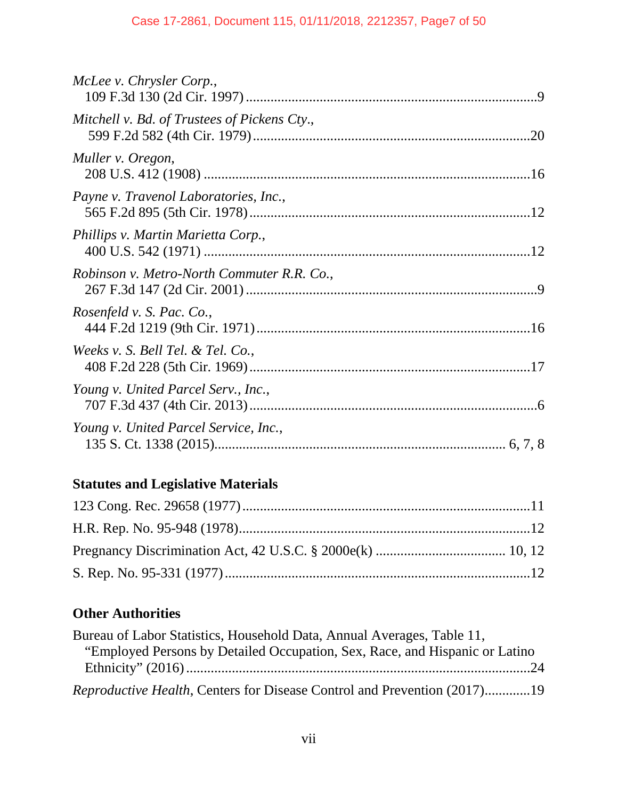# **Statutes and Legislative Materials**

# **Other Authorities**

| Bureau of Labor Statistics, Household Data, Annual Averages, Table 11,           |  |
|----------------------------------------------------------------------------------|--|
| "Employed Persons by Detailed Occupation, Sex, Race, and Hispanic or Latino      |  |
|                                                                                  |  |
| <i>Reproductive Health</i> , Centers for Disease Control and Prevention (2017)19 |  |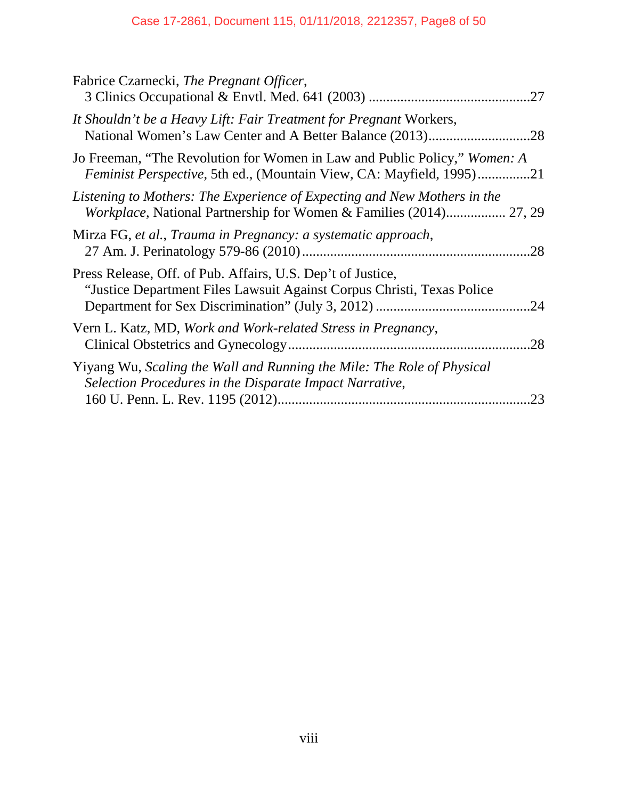## Case 17-2861, Document 115, 01/11/2018, 2212357, Page8 of 50

| Fabrice Czarnecki, The Pregnant Officer,<br>.27                                                                                                   |  |
|---------------------------------------------------------------------------------------------------------------------------------------------------|--|
| It Shouldn't be a Heavy Lift: Fair Treatment for Pregnant Workers,                                                                                |  |
| Jo Freeman, "The Revolution for Women in Law and Public Policy," Women: A<br>Feminist Perspective, 5th ed., (Mountain View, CA: Mayfield, 1995)21 |  |
| Listening to Mothers: The Experience of Expecting and New Mothers in the<br>Workplace, National Partnership for Women & Families (2014) 27, 29    |  |
| Mirza FG, et al., Trauma in Pregnancy: a systematic approach,<br>.28                                                                              |  |
| Press Release, Off. of Pub. Affairs, U.S. Dep't of Justice,<br>"Justice Department Files Lawsuit Against Corpus Christi, Texas Police<br>.24      |  |
| Vern L. Katz, MD, Work and Work-related Stress in Pregnancy,<br>.28                                                                               |  |
| Yiyang Wu, Scaling the Wall and Running the Mile: The Role of Physical<br>Selection Procedures in the Disparate Impact Narrative,<br>.23          |  |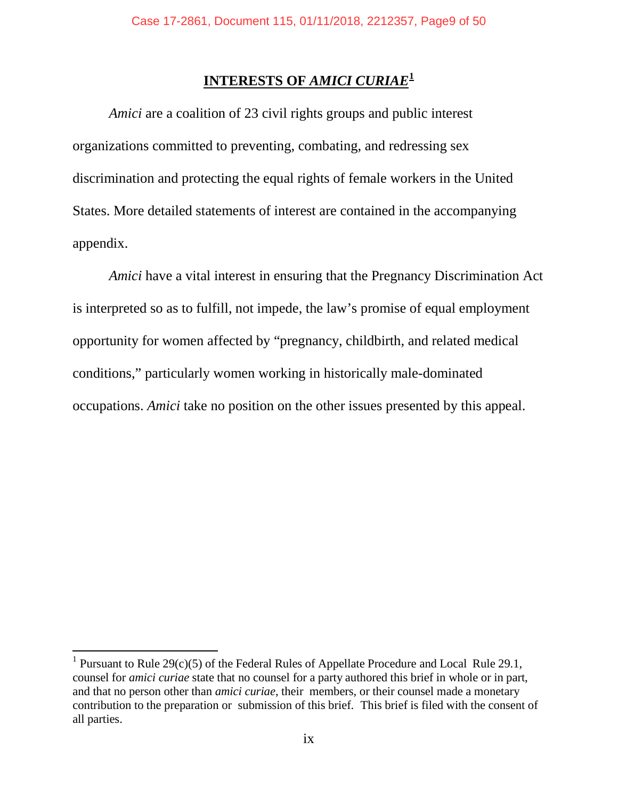## **INTERESTS OF** *AMICI CURIAE***[1](#page-8-0)**

*Amici* are a coalition of 23 civil rights groups and public interest organizations committed to preventing, combating, and redressing sex discrimination and protecting the equal rights of female workers in the United States. More detailed statements of interest are contained in the accompanying appendix.

*Amici* have a vital interest in ensuring that the Pregnancy Discrimination Act is interpreted so as to fulfill, not impede, the law's promise of equal employment opportunity for women affected by "pregnancy, childbirth, and related medical conditions," particularly women working in historically male-dominated occupations. *Amici* take no position on the other issues presented by this appeal.

 $\overline{a}$ 

<span id="page-8-0"></span><sup>&</sup>lt;sup>1</sup> Pursuant to Rule 29(c)(5) of the Federal Rules of Appellate Procedure and Local Rule 29.1, counsel for *amici curiae* state that no counsel for a party authored this brief in whole or in part, and that no person other than *amici curiae*, their members, or their counsel made a monetary contribution to the preparation or submission of this brief. This brief is filed with the consent of all parties.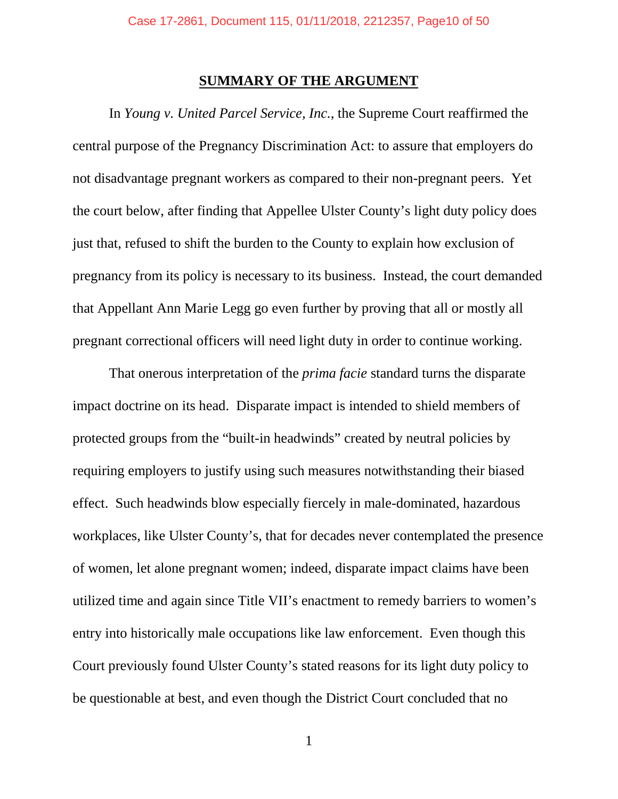## **SUMMARY OF THE ARGUMENT**

In *Young v. United Parcel Service, Inc.*, the Supreme Court reaffirmed the central purpose of the Pregnancy Discrimination Act: to assure that employers do not disadvantage pregnant workers as compared to their non-pregnant peers. Yet the court below, after finding that Appellee Ulster County's light duty policy does just that, refused to shift the burden to the County to explain how exclusion of pregnancy from its policy is necessary to its business. Instead, the court demanded that Appellant Ann Marie Legg go even further by proving that all or mostly all pregnant correctional officers will need light duty in order to continue working.

That onerous interpretation of the *prima facie* standard turns the disparate impact doctrine on its head. Disparate impact is intended to shield members of protected groups from the "built-in headwinds" created by neutral policies by requiring employers to justify using such measures notwithstanding their biased effect. Such headwinds blow especially fiercely in male-dominated, hazardous workplaces, like Ulster County's, that for decades never contemplated the presence of women, let alone pregnant women; indeed, disparate impact claims have been utilized time and again since Title VII's enactment to remedy barriers to women's entry into historically male occupations like law enforcement. Even though this Court previously found Ulster County's stated reasons for its light duty policy to be questionable at best, and even though the District Court concluded that no

1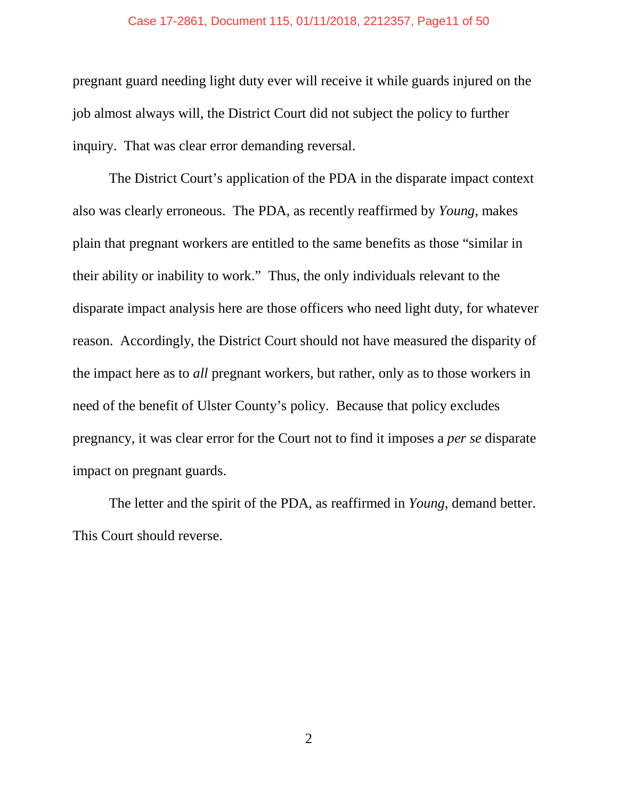#### Case 17-2861, Document 115, 01/11/2018, 2212357, Page11 of 50

pregnant guard needing light duty ever will receive it while guards injured on the job almost always will, the District Court did not subject the policy to further inquiry. That was clear error demanding reversal.

The District Court's application of the PDA in the disparate impact context also was clearly erroneous. The PDA, as recently reaffirmed by *Young*, makes plain that pregnant workers are entitled to the same benefits as those "similar in their ability or inability to work." Thus, the only individuals relevant to the disparate impact analysis here are those officers who need light duty, for whatever reason. Accordingly, the District Court should not have measured the disparity of the impact here as to *all* pregnant workers, but rather, only as to those workers in need of the benefit of Ulster County's policy. Because that policy excludes pregnancy, it was clear error for the Court not to find it imposes a *per se* disparate impact on pregnant guards.

The letter and the spirit of the PDA, as reaffirmed in *Young*, demand better. This Court should reverse.

2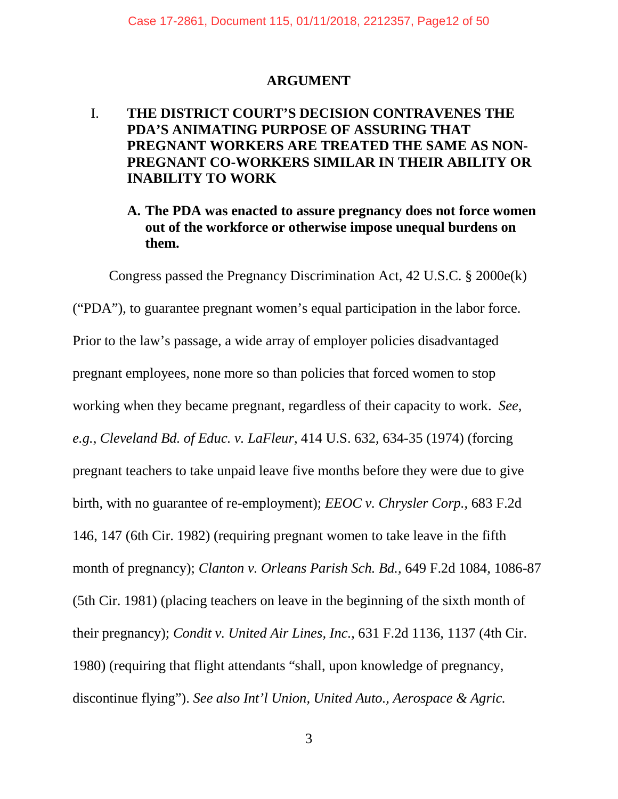## **ARGUMENT**

## I. **THE DISTRICT COURT'S DECISION CONTRAVENES THE PDA'S ANIMATING PURPOSE OF ASSURING THAT PREGNANT WORKERS ARE TREATED THE SAME AS NON-PREGNANT CO-WORKERS SIMILAR IN THEIR ABILITY OR INABILITY TO WORK**

## **A. The PDA was enacted to assure pregnancy does not force women out of the workforce or otherwise impose unequal burdens on them.**

Congress passed the Pregnancy Discrimination Act, 42 U.S.C. § 2000e(k) ("PDA"), to guarantee pregnant women's equal participation in the labor force. Prior to the law's passage, a wide array of employer policies disadvantaged pregnant employees, none more so than policies that forced women to stop working when they became pregnant, regardless of their capacity to work. *See, e.g.*, *Cleveland Bd. of Educ. v. LaFleur*, 414 U.S. 632, 634-35 (1974) (forcing pregnant teachers to take unpaid leave five months before they were due to give birth, with no guarantee of re-employment); *EEOC v. Chrysler Corp.*, 683 F.2d 146, 147 (6th Cir. 1982) (requiring pregnant women to take leave in the fifth month of pregnancy); *Clanton v. Orleans Parish Sch. Bd.*, 649 F.2d 1084, 1086-87 (5th Cir. 1981) (placing teachers on leave in the beginning of the sixth month of their pregnancy); *Condit v. United Air Lines, Inc.*, 631 F.2d 1136, 1137 (4th Cir. 1980) (requiring that flight attendants "shall, upon knowledge of pregnancy, discontinue flying"). *See also Int'l Union, United Auto., Aerospace & Agric.*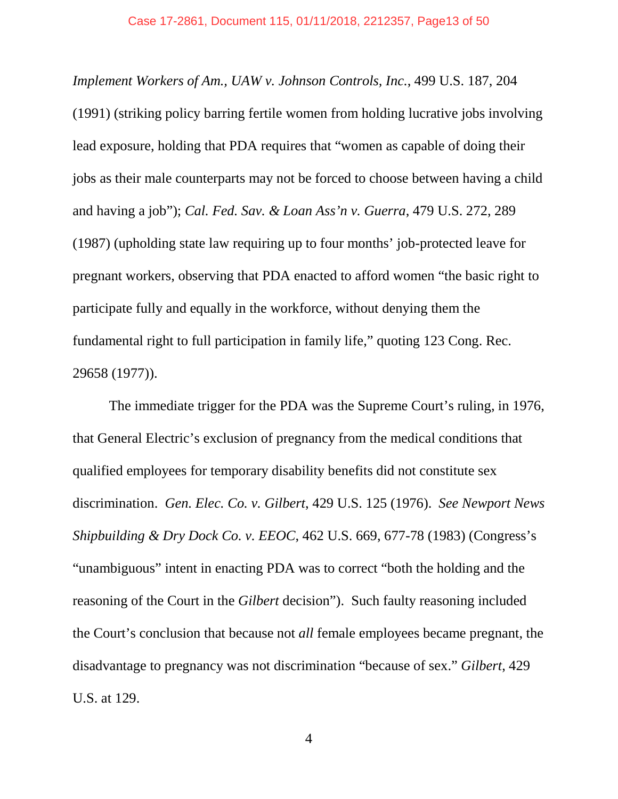*Implement Workers of Am., UAW v. Johnson Controls, Inc.*, 499 U.S. 187, 204 (1991) (striking policy barring fertile women from holding lucrative jobs involving lead exposure, holding that PDA requires that "women as capable of doing their jobs as their male counterparts may not be forced to choose between having a child and having a job"); *Cal. Fed. Sav. & Loan Ass'n v. Guerra*, 479 U.S. 272, 289 (1987) (upholding state law requiring up to four months' job-protected leave for pregnant workers, observing that PDA enacted to afford women "the basic right to participate fully and equally in the workforce, without denying them the fundamental right to full participation in family life," quoting 123 Cong. Rec. 29658 (1977)).

The immediate trigger for the PDA was the Supreme Court's ruling, in 1976, that General Electric's exclusion of pregnancy from the medical conditions that qualified employees for temporary disability benefits did not constitute sex discrimination. *Gen. Elec. Co. v. Gilbert*, 429 U.S. 125 (1976). *See Newport News Shipbuilding & Dry Dock Co. v. EEOC*, 462 U.S. 669, 677-78 (1983) (Congress's "unambiguous" intent in enacting PDA was to correct "both the holding and the reasoning of the Court in the *Gilbert* decision"). Such faulty reasoning included the Court's conclusion that because not *all* female employees became pregnant, the disadvantage to pregnancy was not discrimination "because of sex." *Gilbert*, 429 U.S. at 129.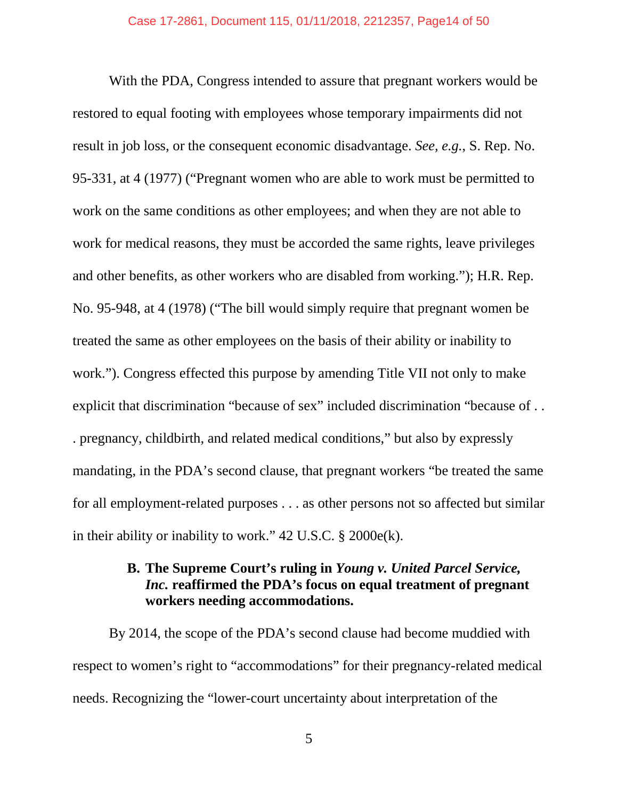With the PDA, Congress intended to assure that pregnant workers would be restored to equal footing with employees whose temporary impairments did not result in job loss, or the consequent economic disadvantage. *See, e.g.*, S. Rep. No. 95-331, at 4 (1977) ("Pregnant women who are able to work must be permitted to work on the same conditions as other employees; and when they are not able to work for medical reasons, they must be accorded the same rights, leave privileges and other benefits, as other workers who are disabled from working."); H.R. Rep. No. 95-948, at 4 (1978) ("The bill would simply require that pregnant women be treated the same as other employees on the basis of their ability or inability to work."). Congress effected this purpose by amending Title VII not only to make explicit that discrimination "because of sex" included discrimination "because of . . . pregnancy, childbirth, and related medical conditions," but also by expressly mandating, in the PDA's second clause, that pregnant workers "be treated the same for all employment-related purposes . . . as other persons not so affected but similar in their ability or inability to work." 42 U.S.C. § 2000e(k).

## **B. The Supreme Court's ruling in** *Young v. United Parcel Service, Inc.* **reaffirmed the PDA's focus on equal treatment of pregnant workers needing accommodations.**

By 2014, the scope of the PDA's second clause had become muddied with respect to women's right to "accommodations" for their pregnancy-related medical needs. Recognizing the "lower-court uncertainty about interpretation of the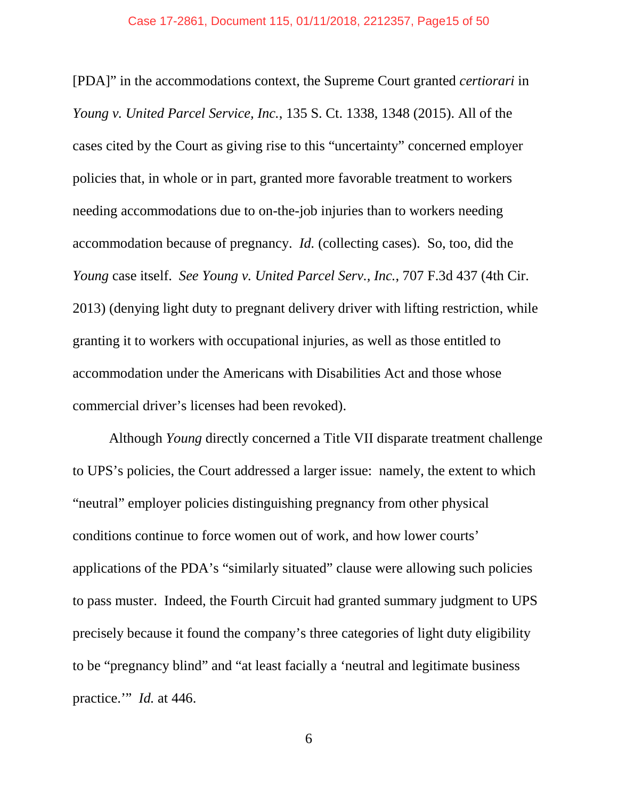#### Case 17-2861, Document 115, 01/11/2018, 2212357, Page15 of 50

[PDA]" in the accommodations context, the Supreme Court granted *certiorari* in *Young v. United Parcel Service, Inc.*, 135 S. Ct. 1338, 1348 (2015). All of the cases cited by the Court as giving rise to this "uncertainty" concerned employer policies that, in whole or in part, granted more favorable treatment to workers needing accommodations due to on-the-job injuries than to workers needing accommodation because of pregnancy. *Id.* (collecting cases). So, too, did the *Young* case itself. *See Young v. United Parcel Serv., Inc.*, 707 F.3d 437 (4th Cir. 2013) (denying light duty to pregnant delivery driver with lifting restriction, while granting it to workers with occupational injuries, as well as those entitled to accommodation under the Americans with Disabilities Act and those whose commercial driver's licenses had been revoked).

Although *Young* directly concerned a Title VII disparate treatment challenge to UPS's policies, the Court addressed a larger issue: namely, the extent to which "neutral" employer policies distinguishing pregnancy from other physical conditions continue to force women out of work, and how lower courts' applications of the PDA's "similarly situated" clause were allowing such policies to pass muster. Indeed, the Fourth Circuit had granted summary judgment to UPS precisely because it found the company's three categories of light duty eligibility to be "pregnancy blind" and "at least facially a 'neutral and legitimate business practice." *Id.* at 446.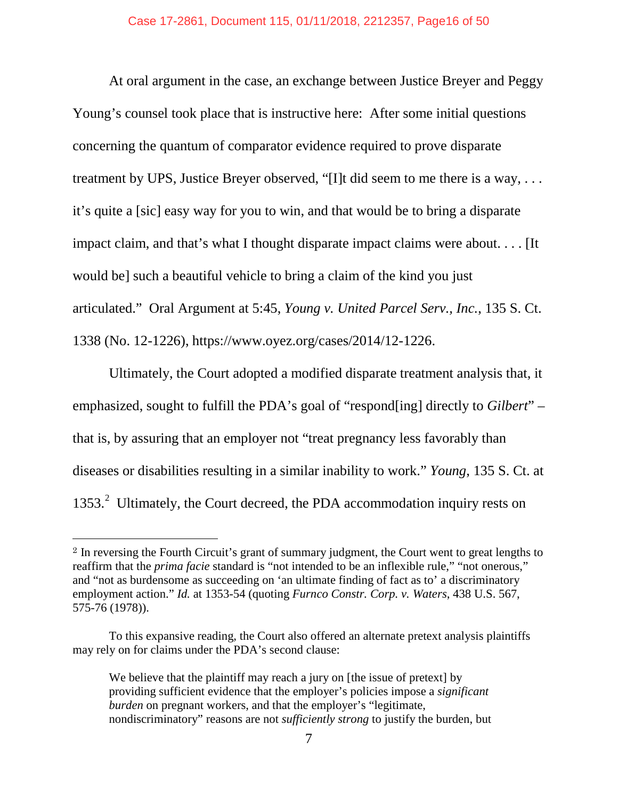At oral argument in the case, an exchange between Justice Breyer and Peggy Young's counsel took place that is instructive here: After some initial questions concerning the quantum of comparator evidence required to prove disparate treatment by UPS, Justice Breyer observed, "[I]t did seem to me there is a way, . . . it's quite a [sic] easy way for you to win, and that would be to bring a disparate impact claim, and that's what I thought disparate impact claims were about. . . . [It would be] such a beautiful vehicle to bring a claim of the kind you just articulated." Oral Argument at 5:45, *Young v. United Parcel Serv., Inc.*, 135 S. Ct. 1338 (No. 12-1226), https://www.oyez.org/cases/2014/12-1226.

Ultimately, the Court adopted a modified disparate treatment analysis that, it emphasized, sought to fulfill the PDA's goal of "respond[ing] directly to *Gilbert*" – that is, by assuring that an employer not "treat pregnancy less favorably than diseases or disabilities resulting in a similar inability to work." *Young*, 135 S. Ct. at 1353.<sup>[2](#page-15-0)</sup> Ultimately, the Court decreed, the PDA accommodation inquiry rests on

 $\overline{a}$ 

<span id="page-15-0"></span><sup>2</sup> In reversing the Fourth Circuit's grant of summary judgment, the Court went to great lengths to reaffirm that the *prima facie* standard is "not intended to be an inflexible rule," "not onerous," and "not as burdensome as succeeding on 'an ultimate finding of fact as to' a discriminatory employment action." *Id.* at 1353-54 (quoting *Furnco Constr. Corp. v. Waters*, 438 U.S. 567, 575-76 (1978)).

To this expansive reading, the Court also offered an alternate pretext analysis plaintiffs may rely on for claims under the PDA's second clause:

We believe that the plaintiff may reach a jury on [the issue of pretext] by providing sufficient evidence that the employer's policies impose a *significant burden* on pregnant workers, and that the employer's "legitimate, nondiscriminatory" reasons are not *sufficiently strong* to justify the burden, but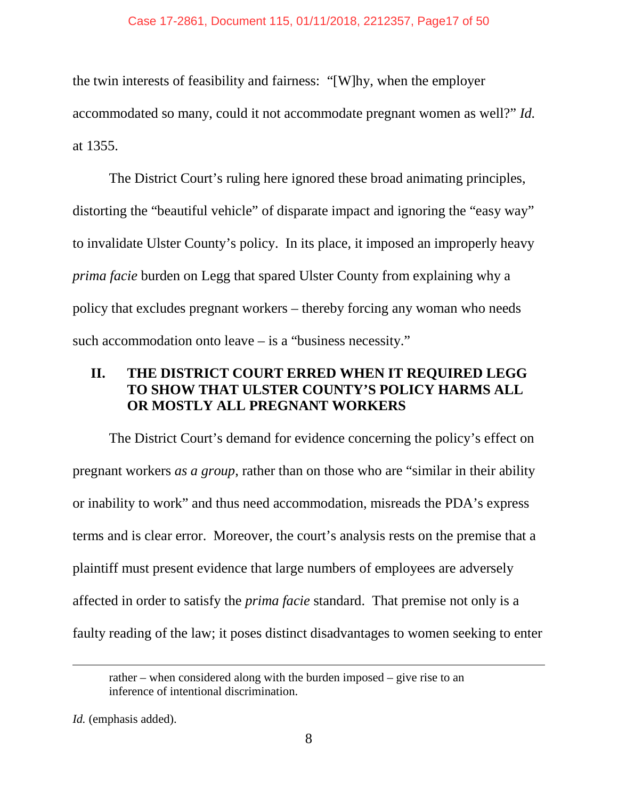the twin interests of feasibility and fairness: "[W]hy, when the employer accommodated so many, could it not accommodate pregnant women as well?" *Id.* at 1355.

The District Court's ruling here ignored these broad animating principles, distorting the "beautiful vehicle" of disparate impact and ignoring the "easy way" to invalidate Ulster County's policy. In its place, it imposed an improperly heavy *prima facie* burden on Legg that spared Ulster County from explaining why a policy that excludes pregnant workers – thereby forcing any woman who needs such accommodation onto leave – is a "business necessity."

## **II. THE DISTRICT COURT ERRED WHEN IT REQUIRED LEGG TO SHOW THAT ULSTER COUNTY'S POLICY HARMS ALL OR MOSTLY ALL PREGNANT WORKERS**

The District Court's demand for evidence concerning the policy's effect on pregnant workers *as a group*, rather than on those who are "similar in their ability or inability to work" and thus need accommodation, misreads the PDA's express terms and is clear error. Moreover, the court's analysis rests on the premise that a plaintiff must present evidence that large numbers of employees are adversely affected in order to satisfy the *prima facie* standard. That premise not only is a faulty reading of the law; it poses distinct disadvantages to women seeking to enter

 $\overline{a}$ 

rather – when considered along with the burden imposed – give rise to an inference of intentional discrimination.

*Id.* (emphasis added).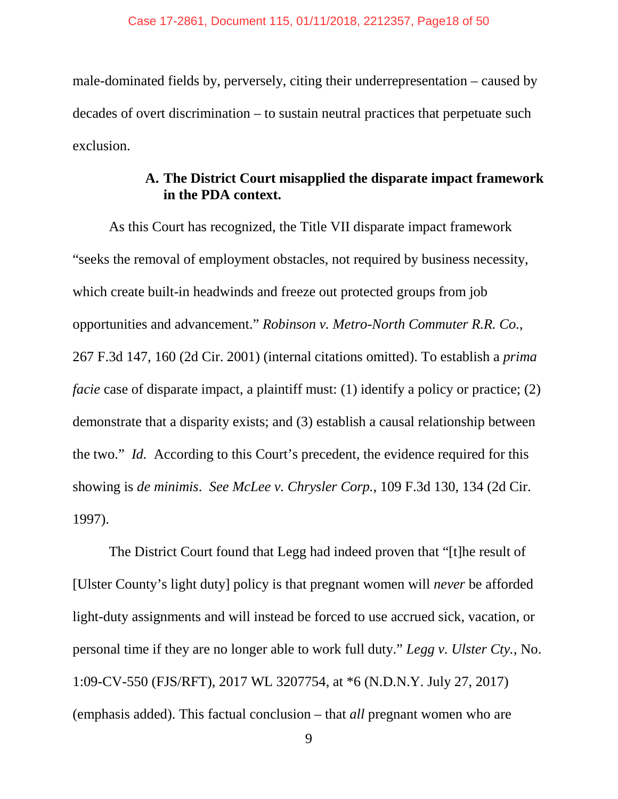male-dominated fields by, perversely, citing their underrepresentation – caused by decades of overt discrimination – to sustain neutral practices that perpetuate such exclusion.

## **A. The District Court misapplied the disparate impact framework in the PDA context.**

As this Court has recognized, the Title VII disparate impact framework "seeks the removal of employment obstacles, not required by business necessity, which create built-in headwinds and freeze out protected groups from job opportunities and advancement." *Robinson v. Metro-North Commuter R.R. Co.*, 267 F.3d 147, 160 (2d Cir. 2001) (internal citations omitted). To establish a *prima facie* case of disparate impact, a plaintiff must: (1) identify a policy or practice; (2) demonstrate that a disparity exists; and (3) establish a causal relationship between the two." *Id.* According to this Court's precedent, the evidence required for this showing is *de minimis*. *See McLee v. Chrysler Corp.*, 109 F.3d 130, 134 (2d Cir. 1997).

The District Court found that Legg had indeed proven that "[t]he result of [Ulster County's light duty] policy is that pregnant women will *never* be afforded light-duty assignments and will instead be forced to use accrued sick, vacation, or personal time if they are no longer able to work full duty." *Legg v. Ulster Cty.*, No. 1:09-CV-550 (FJS/RFT), 2017 WL 3207754, at \*6 (N.D.N.Y. July 27, 2017) (emphasis added). This factual conclusion – that *all* pregnant women who are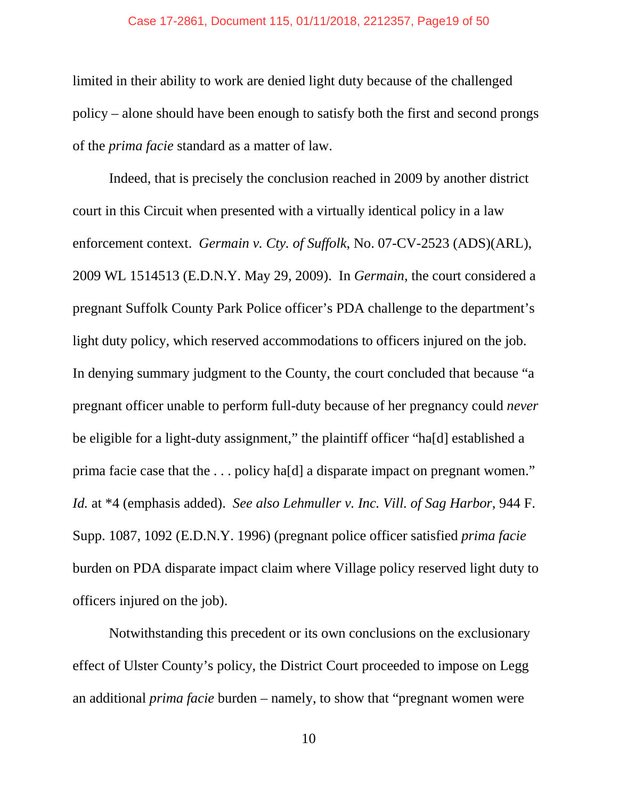#### Case 17-2861, Document 115, 01/11/2018, 2212357, Page19 of 50

limited in their ability to work are denied light duty because of the challenged policy – alone should have been enough to satisfy both the first and second prongs of the *prima facie* standard as a matter of law.

Indeed, that is precisely the conclusion reached in 2009 by another district court in this Circuit when presented with a virtually identical policy in a law enforcement context. *Germain v. Cty. of Suffolk*, No. 07-CV-2523 (ADS)(ARL), 2009 WL 1514513 (E.D.N.Y. May 29, 2009). In *Germain*, the court considered a pregnant Suffolk County Park Police officer's PDA challenge to the department's light duty policy, which reserved accommodations to officers injured on the job. In denying summary judgment to the County, the court concluded that because "a pregnant officer unable to perform full-duty because of her pregnancy could *never*  be eligible for a light-duty assignment," the plaintiff officer "ha[d] established a prima facie case that the . . . policy ha[d] a disparate impact on pregnant women." *Id.* at \*4 (emphasis added). *See also Lehmuller v. Inc. Vill. of Sag Harbor*, 944 F. Supp. 1087, 1092 (E.D.N.Y. 1996) (pregnant police officer satisfied *prima facie* burden on PDA disparate impact claim where Village policy reserved light duty to officers injured on the job).

Notwithstanding this precedent or its own conclusions on the exclusionary effect of Ulster County's policy, the District Court proceeded to impose on Legg an additional *prima facie* burden – namely, to show that "pregnant women were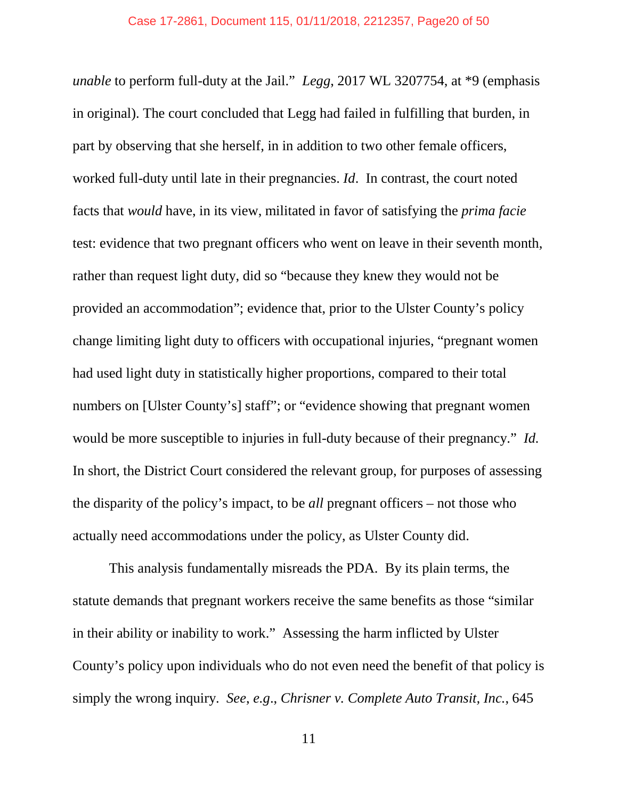*unable* to perform full-duty at the Jail." *Legg*, 2017 WL 3207754, at \*9 (emphasis in original). The court concluded that Legg had failed in fulfilling that burden, in part by observing that she herself, in in addition to two other female officers, worked full-duty until late in their pregnancies. *Id*. In contrast, the court noted facts that *would* have, in its view, militated in favor of satisfying the *prima facie* test: evidence that two pregnant officers who went on leave in their seventh month, rather than request light duty, did so "because they knew they would not be provided an accommodation"; evidence that, prior to the Ulster County's policy change limiting light duty to officers with occupational injuries, "pregnant women had used light duty in statistically higher proportions, compared to their total numbers on [Ulster County's] staff"; or "evidence showing that pregnant women would be more susceptible to injuries in full-duty because of their pregnancy." *Id.* In short, the District Court considered the relevant group, for purposes of assessing the disparity of the policy's impact, to be *all* pregnant officers – not those who actually need accommodations under the policy, as Ulster County did.

This analysis fundamentally misreads the PDA. By its plain terms, the statute demands that pregnant workers receive the same benefits as those "similar in their ability or inability to work." Assessing the harm inflicted by Ulster County's policy upon individuals who do not even need the benefit of that policy is simply the wrong inquiry. *See*, *e.g*., *Chrisner v. Complete Auto Transit, Inc.*, 645

11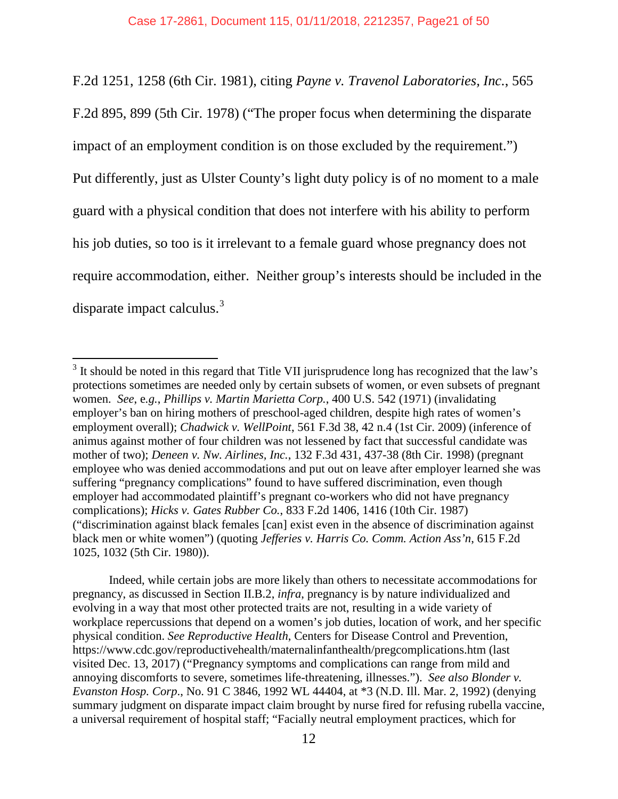F.2d 1251, 1258 (6th Cir. 1981), citing *Payne v. Travenol Laboratories, Inc.*, 565 F.2d 895, 899 (5th Cir. 1978) ("The proper focus when determining the disparate impact of an employment condition is on those excluded by the requirement.") Put differently, just as Ulster County's light duty policy is of no moment to a male guard with a physical condition that does not interfere with his ability to perform his job duties, so too is it irrelevant to a female guard whose pregnancy does not require accommodation, either. Neither group's interests should be included in the disparate impact calculus.<sup>[3](#page-20-0)</sup>

 $\overline{a}$ 

Indeed, while certain jobs are more likely than others to necessitate accommodations for pregnancy, as discussed in Section II.B.2, *infra*, pregnancy is by nature individualized and evolving in a way that most other protected traits are not, resulting in a wide variety of workplace repercussions that depend on a women's job duties, location of work, and her specific physical condition. *See Reproductive Health*, Centers for Disease Control and Prevention, https://www.cdc.gov/reproductivehealth/maternalinfanthealth/pregcomplications.htm (last visited Dec. 13, 2017) ("Pregnancy symptoms and complications can range from mild and annoying discomforts to severe, sometimes life-threatening, illnesses."). *See also Blonder v. Evanston Hosp. Corp*., No. 91 C 3846, 1992 WL 44404, at \*3 (N.D. Ill. Mar. 2, 1992) (denying summary judgment on disparate impact claim brought by nurse fired for refusing rubella vaccine, a universal requirement of hospital staff; "Facially neutral employment practices, which for

<span id="page-20-0"></span> $3\text{ It should be noted in this regard that Title VII}$  jurisprudence long has recognized that the law's protections sometimes are needed only by certain subsets of women, or even subsets of pregnant women. *See*, e*.g.*, *Phillips v. Martin Marietta Corp.*, 400 U.S. 542 (1971) (invalidating employer's ban on hiring mothers of preschool-aged children, despite high rates of women's employment overall); *Chadwick v. WellPoint*, 561 F.3d 38, 42 n.4 (1st Cir. 2009) (inference of animus against mother of four children was not lessened by fact that successful candidate was mother of two); *Deneen v. Nw. Airlines, Inc.*, 132 F.3d 431, 437-38 (8th Cir. 1998) (pregnant employee who was denied accommodations and put out on leave after employer learned she was suffering "pregnancy complications" found to have suffered discrimination, even though employer had accommodated plaintiff's pregnant co-workers who did not have pregnancy complications); *Hicks v. Gates Rubber Co.*, 833 F.2d 1406, 1416 (10th Cir. 1987) ("discrimination against black females [can] exist even in the absence of discrimination against black men or white women") (quoting *Jefferies v. Harris Co. Comm. Action Ass'n*, 615 F.2d 1025, 1032 (5th Cir. 1980)).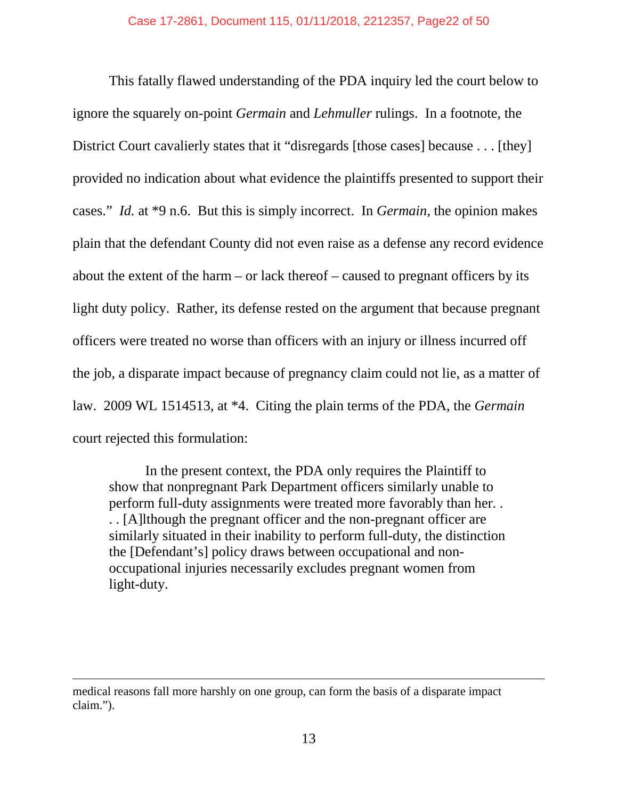This fatally flawed understanding of the PDA inquiry led the court below to ignore the squarely on-point *Germain* and *Lehmuller* rulings. In a footnote, the District Court cavalierly states that it "disregards [those cases] because . . . [they] provided no indication about what evidence the plaintiffs presented to support their cases." *Id.* at \*9 n.6. But this is simply incorrect. In *Germain*, the opinion makes plain that the defendant County did not even raise as a defense any record evidence about the extent of the harm – or lack thereof – caused to pregnant officers by its light duty policy. Rather, its defense rested on the argument that because pregnant officers were treated no worse than officers with an injury or illness incurred off the job, a disparate impact because of pregnancy claim could not lie, as a matter of law. 2009 WL 1514513, at \*4. Citing the plain terms of the PDA, the *Germain* court rejected this formulation:

In the present context, the PDA only requires the Plaintiff to show that nonpregnant Park Department officers similarly unable to perform full-duty assignments were treated more favorably than her. . . . [A]lthough the pregnant officer and the non-pregnant officer are similarly situated in their inability to perform full-duty, the distinction the [Defendant's] policy draws between occupational and nonoccupational injuries necessarily excludes pregnant women from light-duty.

 $\overline{a}$ 

medical reasons fall more harshly on one group, can form the basis of a disparate impact claim.").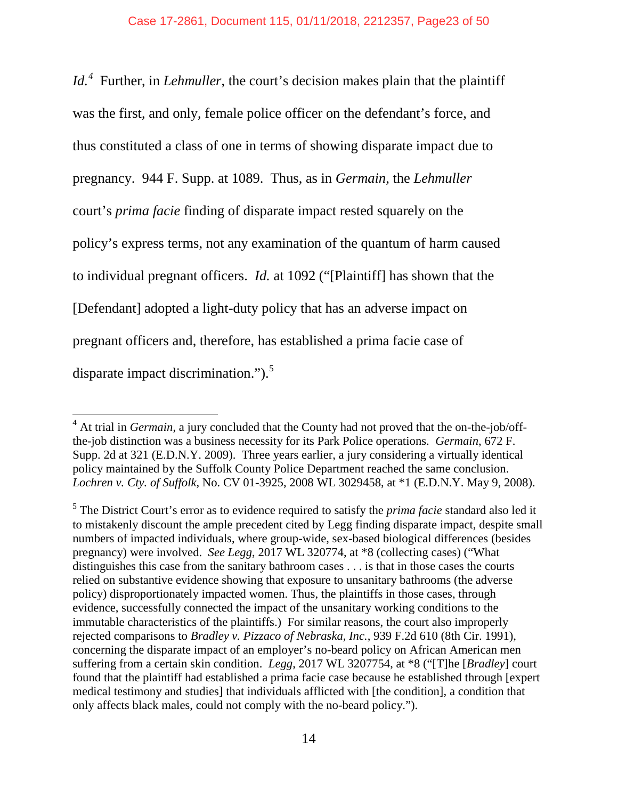*Id.[4](#page-22-0)* Further, in *Lehmuller*, the court's decision makes plain that the plaintiff was the first, and only, female police officer on the defendant's force, and thus constituted a class of one in terms of showing disparate impact due to pregnancy. 944 F. Supp. at 1089. Thus, as in *Germain*, the *Lehmuller*  court's *prima facie* finding of disparate impact rested squarely on the policy's express terms, not any examination of the quantum of harm caused to individual pregnant officers. *Id.* at 1092 ("[Plaintiff] has shown that the [Defendant] adopted a light-duty policy that has an adverse impact on pregnant officers and, therefore, has established a prima facie case of disparate impact discrimination." $)$ .<sup>[5](#page-22-1)</sup>

 $\overline{a}$ 

<span id="page-22-0"></span><sup>&</sup>lt;sup>4</sup> At trial in *Germain*, a jury concluded that the County had not proved that the on-the-job/offthe-job distinction was a business necessity for its Park Police operations. *Germain*, 672 F. Supp. 2d at 321 (E.D.N.Y. 2009). Three years earlier, a jury considering a virtually identical policy maintained by the Suffolk County Police Department reached the same conclusion. *Lochren v. Cty. of Suffolk*, No. CV 01-3925, 2008 WL 3029458, at \*1 (E.D.N.Y. May 9, 2008).

<span id="page-22-1"></span><sup>5</sup> The District Court's error as to evidence required to satisfy the *prima facie* standard also led it to mistakenly discount the ample precedent cited by Legg finding disparate impact, despite small numbers of impacted individuals, where group-wide, sex-based biological differences (besides pregnancy) were involved. *See Legg*, 2017 WL 320774, at \*8 (collecting cases) ("What distinguishes this case from the sanitary bathroom cases . . . is that in those cases the courts relied on substantive evidence showing that exposure to unsanitary bathrooms (the adverse policy) disproportionately impacted women. Thus, the plaintiffs in those cases, through evidence, successfully connected the impact of the unsanitary working conditions to the immutable characteristics of the plaintiffs.) For similar reasons, the court also improperly rejected comparisons to *Bradley v. Pizzaco of Nebraska, Inc.*, 939 F.2d 610 (8th Cir. 1991), concerning the disparate impact of an employer's no-beard policy on African American men suffering from a certain skin condition. *Legg*, 2017 WL 3207754, at \*8 ("[T]he [*Bradley*] court found that the plaintiff had established a prima facie case because he established through [expert medical testimony and studies] that individuals afflicted with [the condition], a condition that only affects black males, could not comply with the no-beard policy.").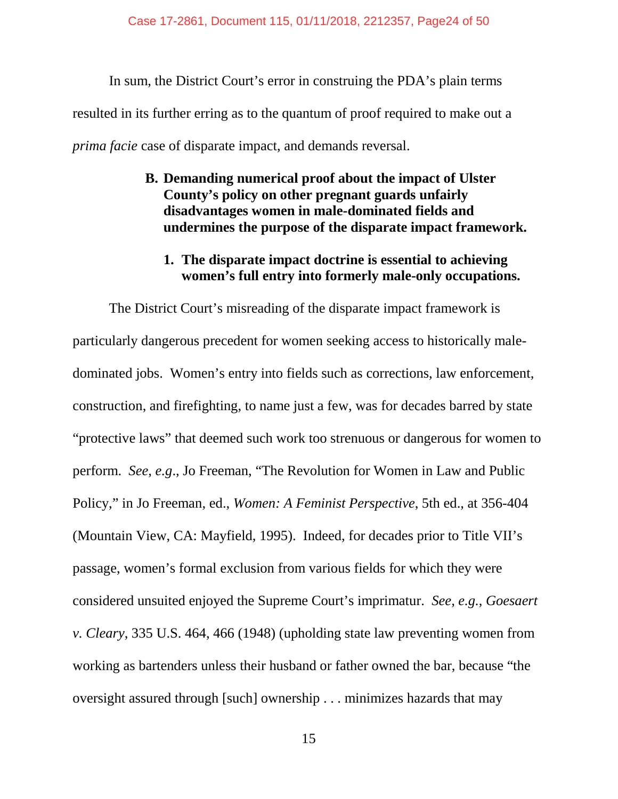In sum, the District Court's error in construing the PDA's plain terms resulted in its further erring as to the quantum of proof required to make out a *prima facie* case of disparate impact, and demands reversal.

> **B. Demanding numerical proof about the impact of Ulster County's policy on other pregnant guards unfairly disadvantages women in male-dominated fields and undermines the purpose of the disparate impact framework.**

## **1. The disparate impact doctrine is essential to achieving women's full entry into formerly male-only occupations.**

The District Court's misreading of the disparate impact framework is particularly dangerous precedent for women seeking access to historically maledominated jobs. Women's entry into fields such as corrections, law enforcement, construction, and firefighting, to name just a few, was for decades barred by state "protective laws" that deemed such work too strenuous or dangerous for women to perform. *See*, *e.g*., Jo Freeman, "The Revolution for Women in Law and Public Policy," in Jo Freeman, ed., *Women: A Feminist Perspective*, 5th ed., at 356-404 (Mountain View, CA: Mayfield, 1995). Indeed, for decades prior to Title VII's passage, women's formal exclusion from various fields for which they were considered unsuited enjoyed the Supreme Court's imprimatur. *See, e.g.*, *Goesaert v. Cleary*, 335 U.S. 464, 466 (1948) (upholding state law preventing women from working as bartenders unless their husband or father owned the bar, because "the oversight assured through [such] ownership . . . minimizes hazards that may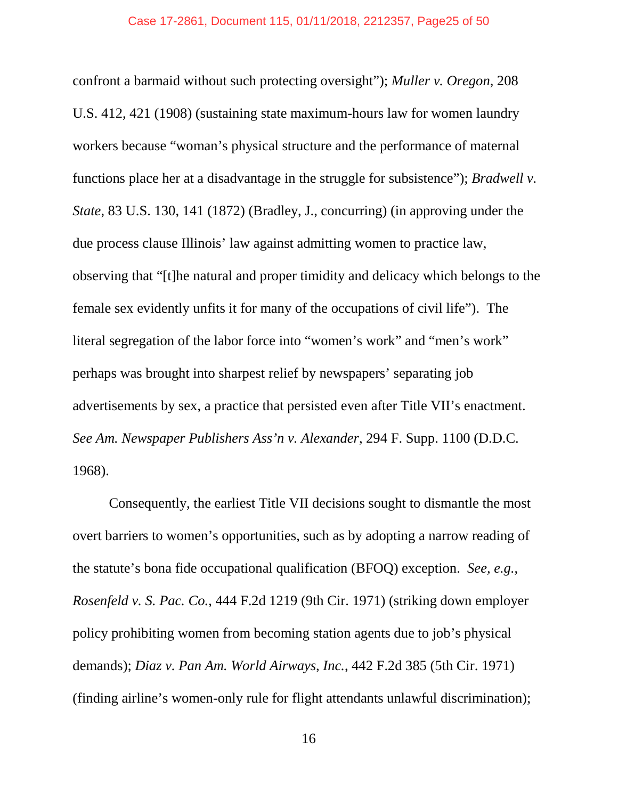confront a barmaid without such protecting oversight"); *Muller v. Oregon*, 208 U.S. 412, 421 (1908) (sustaining state maximum-hours law for women laundry workers because "woman's physical structure and the performance of maternal functions place her at a disadvantage in the struggle for subsistence"); *Bradwell v. State*, 83 U.S. 130, 141 (1872) (Bradley, J., concurring) (in approving under the due process clause Illinois' law against admitting women to practice law, observing that "[t]he natural and proper timidity and delicacy which belongs to the female sex evidently unfits it for many of the occupations of civil life"). The literal segregation of the labor force into "women's work" and "men's work" perhaps was brought into sharpest relief by newspapers' separating job advertisements by sex, a practice that persisted even after Title VII's enactment. *See Am. Newspaper Publishers Ass'n v. Alexander*, 294 F. Supp. 1100 (D.D.C. 1968).

Consequently, the earliest Title VII decisions sought to dismantle the most overt barriers to women's opportunities, such as by adopting a narrow reading of the statute's bona fide occupational qualification (BFOQ) exception. *See, e.g.*, *Rosenfeld v. S. Pac. Co.*, 444 F.2d 1219 (9th Cir. 1971) (striking down employer policy prohibiting women from becoming station agents due to job's physical demands); *Diaz v. Pan Am. World Airways, Inc.*, 442 F.2d 385 (5th Cir. 1971) (finding airline's women-only rule for flight attendants unlawful discrimination);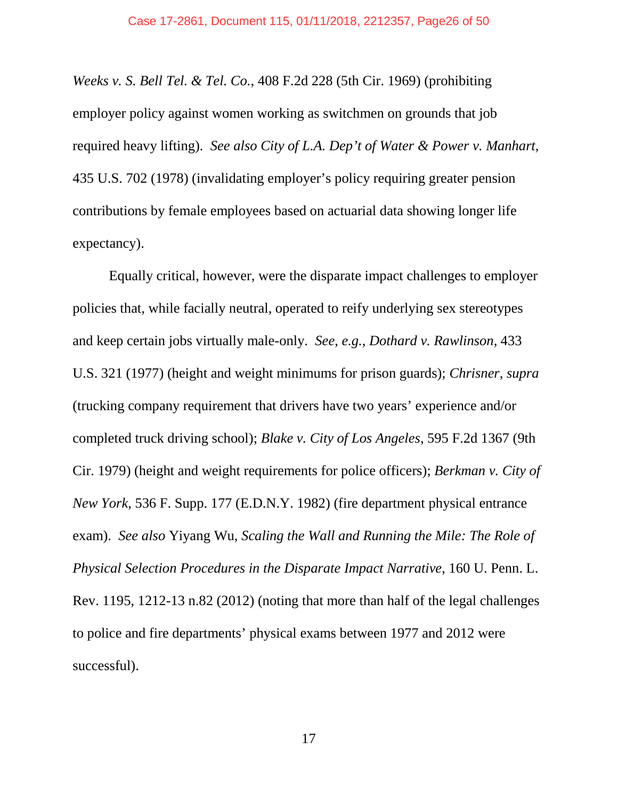*Weeks v. S. Bell Tel. & Tel. Co.*, 408 F.2d 228 (5th Cir. 1969) (prohibiting employer policy against women working as switchmen on grounds that job required heavy lifting). *See also City of L.A. Dep't of Water & Power v. Manhart*, 435 U.S. 702 (1978) (invalidating employer's policy requiring greater pension contributions by female employees based on actuarial data showing longer life expectancy).

Equally critical, however, were the disparate impact challenges to employer policies that, while facially neutral, operated to reify underlying sex stereotypes and keep certain jobs virtually male-only. *See*, *e.g.*, *Dothard v. Rawlinson*, 433 U.S. 321 (1977) (height and weight minimums for prison guards); *Chrisner*, *supra*  (trucking company requirement that drivers have two years' experience and/or completed truck driving school); *Blake v. City of Los Angeles*, 595 F.2d 1367 (9th Cir. 1979) (height and weight requirements for police officers); *Berkman v. City of New York*, 536 F. Supp. 177 (E.D.N.Y. 1982) (fire department physical entrance exam). *See also* Yiyang Wu, *Scaling the Wall and Running the Mile: The Role of Physical Selection Procedures in the Disparate Impact Narrative*, 160 U. Penn. L. Rev. 1195, 1212-13 n.82 (2012) (noting that more than half of the legal challenges to police and fire departments' physical exams between 1977 and 2012 were successful).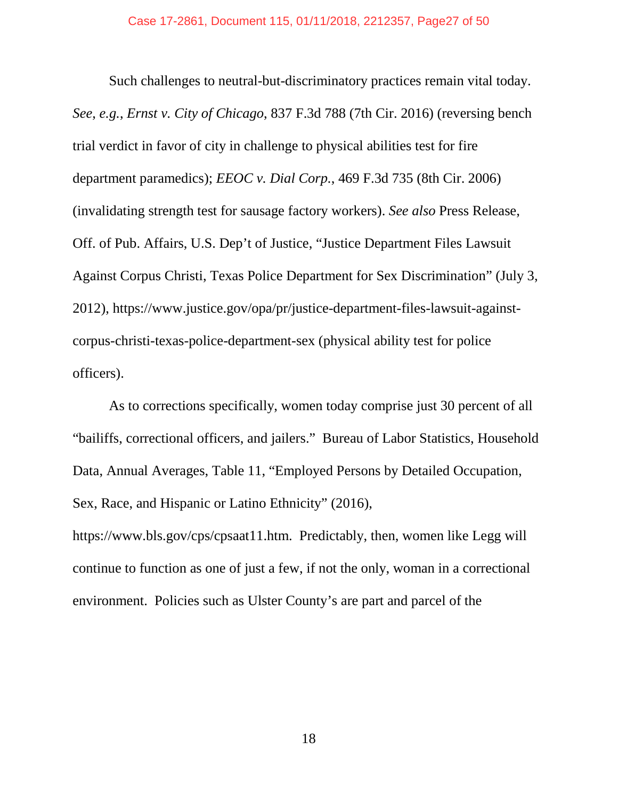Such challenges to neutral-but-discriminatory practices remain vital today. *See*, *e.g.*, *Ernst v. City of Chicago*, 837 F.3d 788 (7th Cir. 2016) (reversing bench trial verdict in favor of city in challenge to physical abilities test for fire department paramedics); *EEOC v. Dial Corp.*, 469 F.3d 735 (8th Cir. 2006) (invalidating strength test for sausage factory workers). *See also* Press Release, Off. of Pub. Affairs, U.S. Dep't of Justice, "Justice Department Files Lawsuit Against Corpus Christi, Texas Police Department for Sex Discrimination" (July 3, 2012), https://www.justice.gov/opa/pr/justice-department-files-lawsuit-againstcorpus-christi-texas-police-department-sex (physical ability test for police officers).

As to corrections specifically, women today comprise just 30 percent of all "bailiffs, correctional officers, and jailers." Bureau of Labor Statistics, Household Data, Annual Averages, Table 11, "Employed Persons by Detailed Occupation, Sex, Race, and Hispanic or Latino Ethnicity" (2016),

https://www.bls.gov/cps/cpsaat11.htm. Predictably, then, women like Legg will continue to function as one of just a few, if not the only, woman in a correctional environment. Policies such as Ulster County's are part and parcel of the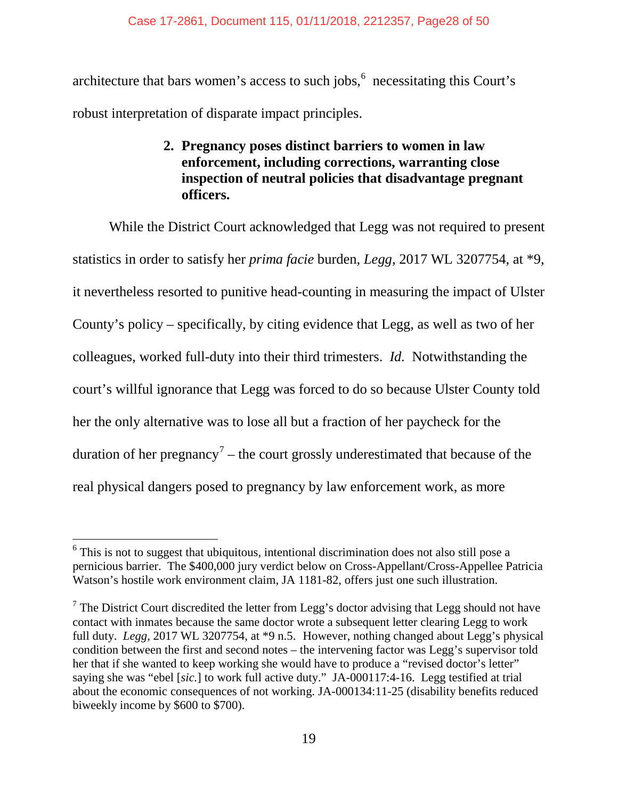architecture that bars women's access to such jobs, $6 \text{ necessitating this Court's}$  $6 \text{ necessitating this Court's}$ robust interpretation of disparate impact principles.

## **2. Pregnancy poses distinct barriers to women in law enforcement, including corrections, warranting close inspection of neutral policies that disadvantage pregnant officers.**

While the District Court acknowledged that Legg was not required to present statistics in order to satisfy her *prima facie* burden, *Legg*, 2017 WL 3207754, at \*9, it nevertheless resorted to punitive head-counting in measuring the impact of Ulster County's policy – specifically, by citing evidence that Legg, as well as two of her colleagues, worked full-duty into their third trimesters. *Id.* Notwithstanding the court's willful ignorance that Legg was forced to do so because Ulster County told her the only alternative was to lose all but a fraction of her paycheck for the duration of her pregnancy<sup>[7](#page-27-1)</sup> – the court grossly underestimated that because of the real physical dangers posed to pregnancy by law enforcement work, as more

<span id="page-27-0"></span> $6$  This is not to suggest that ubiquitous, intentional discrimination does not also still pose a pernicious barrier. The \$400,000 jury verdict below on Cross-Appellant/Cross-Appellee Patricia Watson's hostile work environment claim, JA 1181-82, offers just one such illustration.  $\overline{a}$ 

<span id="page-27-1"></span> $7$  The District Court discredited the letter from Legg's doctor advising that Legg should not have contact with inmates because the same doctor wrote a subsequent letter clearing Legg to work full duty. *Legg*, 2017 WL 3207754, at \*9 n.5. However, nothing changed about Legg's physical condition between the first and second notes – the intervening factor was Legg's supervisor told her that if she wanted to keep working she would have to produce a "revised doctor's letter" saying she was "ebel [*sic.*] to work full active duty." JA-000117:4-16. Legg testified at trial about the economic consequences of not working. JA-000134:11-25 (disability benefits reduced biweekly income by \$600 to \$700).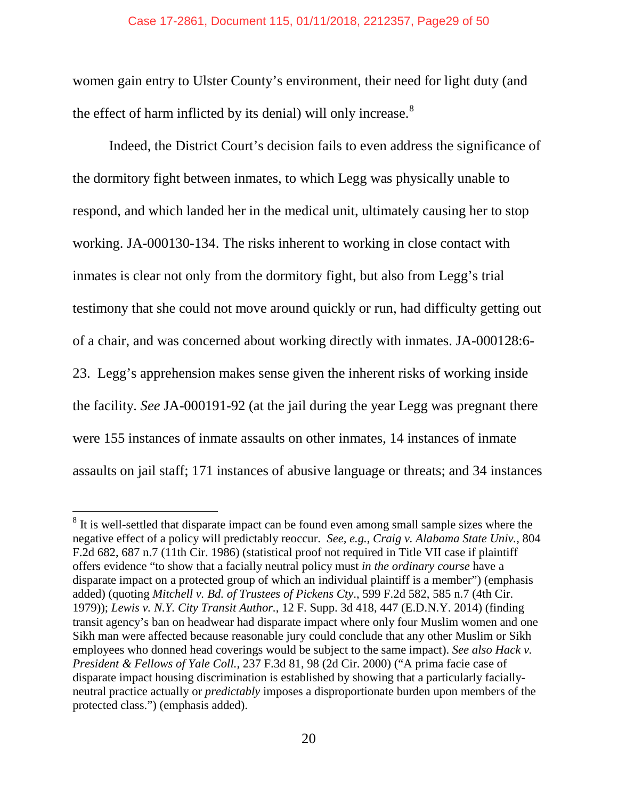#### Case 17-2861, Document 115, 01/11/2018, 2212357, Page29 of 50

women gain entry to Ulster County's environment, their need for light duty (and the effect of harm inflicted by its denial) will only increase. $8$ 

Indeed, the District Court's decision fails to even address the significance of the dormitory fight between inmates, to which Legg was physically unable to respond, and which landed her in the medical unit, ultimately causing her to stop working. JA-000130-134. The risks inherent to working in close contact with inmates is clear not only from the dormitory fight, but also from Legg's trial testimony that she could not move around quickly or run, had difficulty getting out of a chair, and was concerned about working directly with inmates. JA-000128:6- 23. Legg's apprehension makes sense given the inherent risks of working inside the facility. *See* JA-000191-92 (at the jail during the year Legg was pregnant there were 155 instances of inmate assaults on other inmates, 14 instances of inmate assaults on jail staff; 171 instances of abusive language or threats; and 34 instances

 $\overline{a}$ 

<span id="page-28-0"></span> $8$  It is well-settled that disparate impact can be found even among small sample sizes where the negative effect of a policy will predictably reoccur. *See, e.g.*, *Craig v. Alabama State Univ.*, 804 F.2d 682, 687 n.7 (11th Cir. 1986) (statistical proof not required in Title VII case if plaintiff offers evidence "to show that a facially neutral policy must *in the ordinary course* have a disparate impact on a protected group of which an individual plaintiff is a member") (emphasis added) (quoting *Mitchell v. Bd. of Trustees of Pickens Cty*., 599 F.2d 582, 585 n.7 (4th Cir. 1979)); *Lewis v. N.Y. City Transit Author.*, 12 F. Supp. 3d 418, 447 (E.D.N.Y. 2014) (finding transit agency's ban on headwear had disparate impact where only four Muslim women and one Sikh man were affected because reasonable jury could conclude that any other Muslim or Sikh employees who donned head coverings would be subject to the same impact). *See also Hack v. President & Fellows of Yale Coll.*, 237 F.3d 81, 98 (2d Cir. 2000) ("A prima facie case of disparate impact housing discrimination is established by showing that a particularly faciallyneutral practice actually or *predictably* imposes a disproportionate burden upon members of the protected class.") (emphasis added).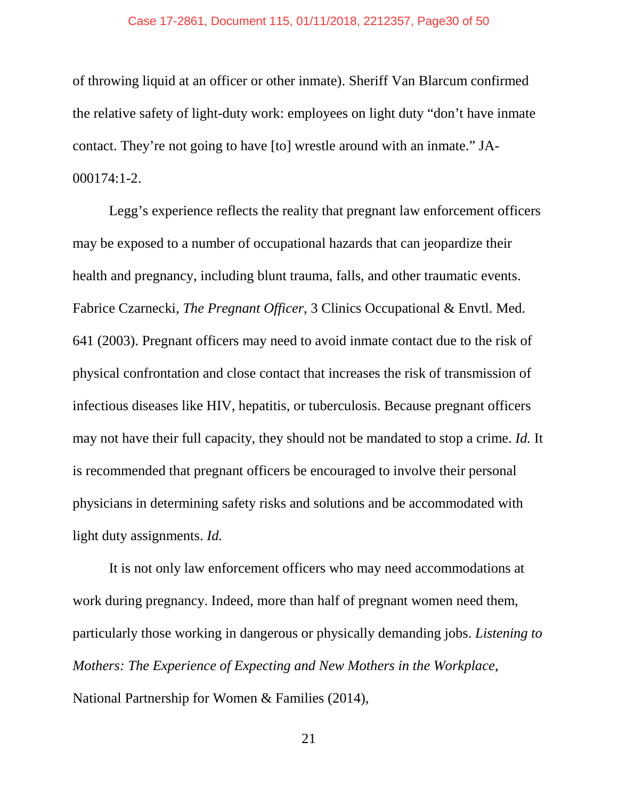#### Case 17-2861, Document 115, 01/11/2018, 2212357, Page30 of 50

of throwing liquid at an officer or other inmate). Sheriff Van Blarcum confirmed the relative safety of light-duty work: employees on light duty "don't have inmate contact. They're not going to have [to] wrestle around with an inmate." JA-000174:1-2.

Legg's experience reflects the reality that pregnant law enforcement officers may be exposed to a number of occupational hazards that can jeopardize their health and pregnancy, including blunt trauma, falls, and other traumatic events. Fabrice Czarnecki, *The Pregnant Officer*, 3 Clinics Occupational & Envtl. Med. 641 (2003). Pregnant officers may need to avoid inmate contact due to the risk of physical confrontation and close contact that increases the risk of transmission of infectious diseases like HIV, hepatitis, or tuberculosis. Because pregnant officers may not have their full capacity, they should not be mandated to stop a crime. *Id.* It is recommended that pregnant officers be encouraged to involve their personal physicians in determining safety risks and solutions and be accommodated with light duty assignments. *Id.*

It is not only law enforcement officers who may need accommodations at work during pregnancy. Indeed, more than half of pregnant women need them, particularly those working in dangerous or physically demanding jobs. *Listening to Mothers: The Experience of Expecting and New Mothers in the Workplace*, National Partnership for Women & Families (2014),

21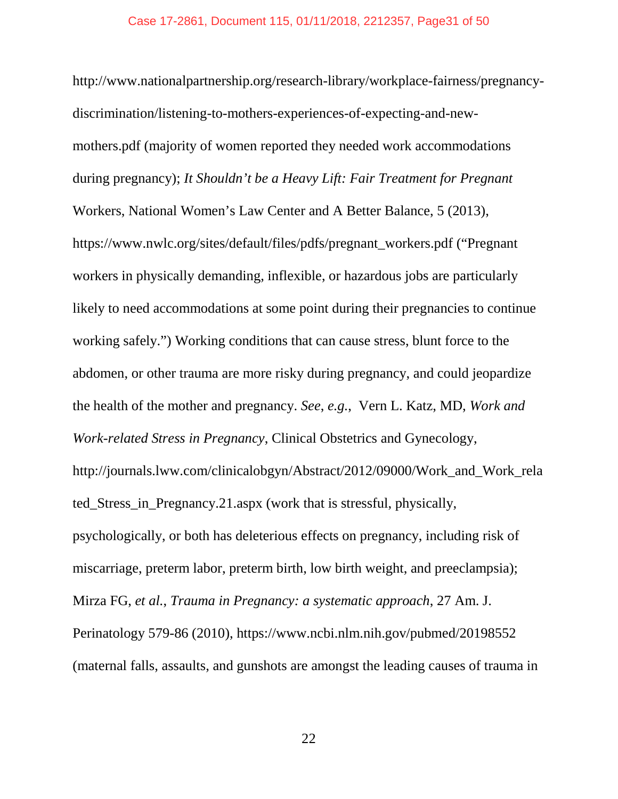http://www.nationalpartnership.org/research-library/workplace-fairness/pregnancydiscrimination/listening-to-mothers-experiences-of-expecting-and-newmothers.pdf (majority of women reported they needed work accommodations during pregnancy); *It Shouldn't be a Heavy Lift: Fair Treatment for Pregnant*  Workers, National Women's Law Center and A Better Balance, 5 (2013), https://www.nwlc.org/sites/default/files/pdfs/pregnant\_workers.pdf ("Pregnant workers in physically demanding, inflexible, or hazardous jobs are particularly likely to need accommodations at some point during their pregnancies to continue working safely.") Working conditions that can cause stress, blunt force to the abdomen, or other trauma are more risky during pregnancy, and could jeopardize the health of the mother and pregnancy. *See*, *e.g.*, Vern L. Katz, MD, *Work and Work-related Stress in Pregnancy*, Clinical Obstetrics and Gynecology, http://journals.lww.com/clinicalobgyn/Abstract/2012/09000/Work\_and\_Work\_rela ted\_Stress\_in\_Pregnancy.21.aspx (work that is stressful, physically, psychologically, or both has deleterious effects on pregnancy, including risk of miscarriage, preterm labor, preterm birth, low birth weight, and preeclampsia); Mirza FG, *et al.*, *Trauma in Pregnancy: a systematic approach*, 27 Am. J. Perinatology 579-86 (2010), https://www.ncbi.nlm.nih.gov/pubmed/20198552 (maternal falls, assaults, and gunshots are amongst the leading causes of trauma in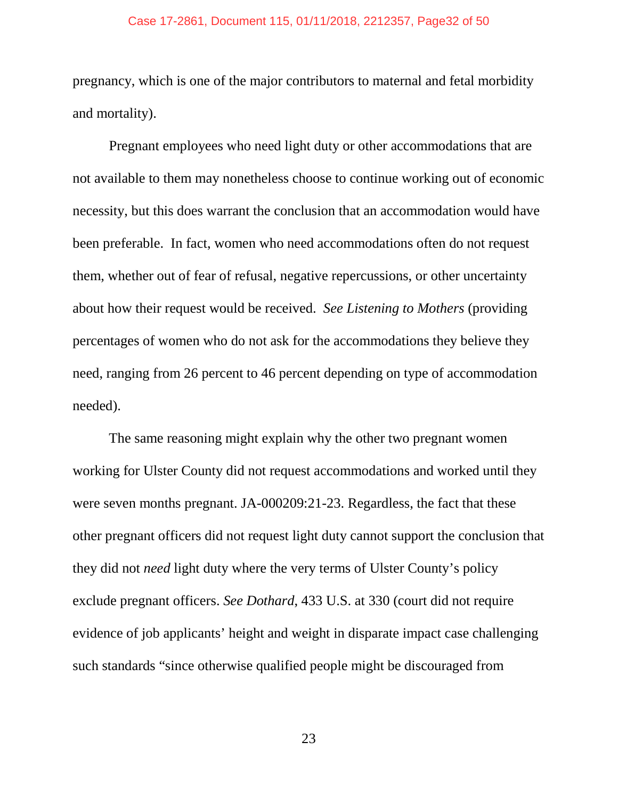#### Case 17-2861, Document 115, 01/11/2018, 2212357, Page32 of 50

pregnancy, which is one of the major contributors to maternal and fetal morbidity and mortality).

Pregnant employees who need light duty or other accommodations that are not available to them may nonetheless choose to continue working out of economic necessity, but this does warrant the conclusion that an accommodation would have been preferable. In fact, women who need accommodations often do not request them, whether out of fear of refusal, negative repercussions, or other uncertainty about how their request would be received. *See Listening to Mothers* (providing percentages of women who do not ask for the accommodations they believe they need, ranging from 26 percent to 46 percent depending on type of accommodation needed).

The same reasoning might explain why the other two pregnant women working for Ulster County did not request accommodations and worked until they were seven months pregnant. JA-000209:21-23. Regardless, the fact that these other pregnant officers did not request light duty cannot support the conclusion that they did not *need* light duty where the very terms of Ulster County's policy exclude pregnant officers. *See Dothard*, 433 U.S. at 330 (court did not require evidence of job applicants' height and weight in disparate impact case challenging such standards "since otherwise qualified people might be discouraged from

23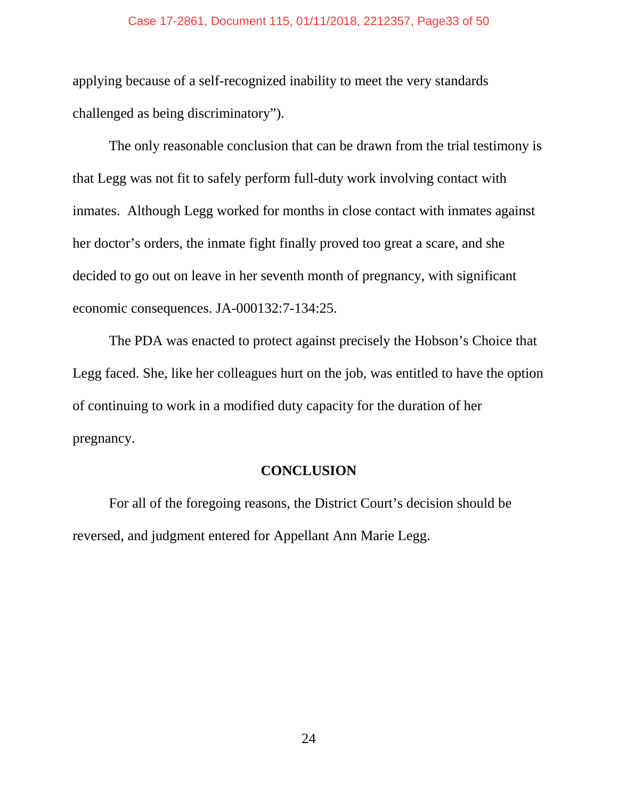#### Case 17-2861, Document 115, 01/11/2018, 2212357, Page33 of 50

applying because of a self-recognized inability to meet the very standards challenged as being discriminatory").

The only reasonable conclusion that can be drawn from the trial testimony is that Legg was not fit to safely perform full-duty work involving contact with inmates. Although Legg worked for months in close contact with inmates against her doctor's orders, the inmate fight finally proved too great a scare, and she decided to go out on leave in her seventh month of pregnancy, with significant economic consequences. JA-000132:7-134:25.

The PDA was enacted to protect against precisely the Hobson's Choice that Legg faced. She, like her colleagues hurt on the job, was entitled to have the option of continuing to work in a modified duty capacity for the duration of her pregnancy.

## **CONCLUSION**

For all of the foregoing reasons, the District Court's decision should be reversed, and judgment entered for Appellant Ann Marie Legg.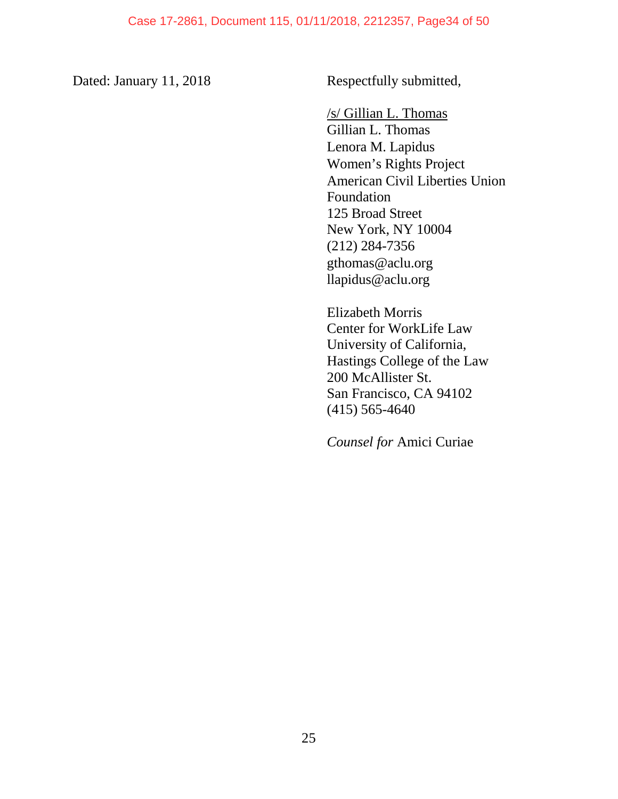Dated: January 11, 2018 Respectfully submitted,

/s/ Gillian L. Thomas Gillian L. Thomas Lenora M. Lapidus Women's Rights Project American Civil Liberties Union Foundation 125 Broad Street New York, NY 10004 (212) 284-7356 [gthomas@aclu.org](mailto:eharrist@nyclu.org) llapidus@aclu.org

Elizabeth Morris Center for WorkLife Law University of California, Hastings College of the Law 200 McAllister St. San Francisco, CA 94102 (415) 565-4640

*Counsel for* Amici Curiae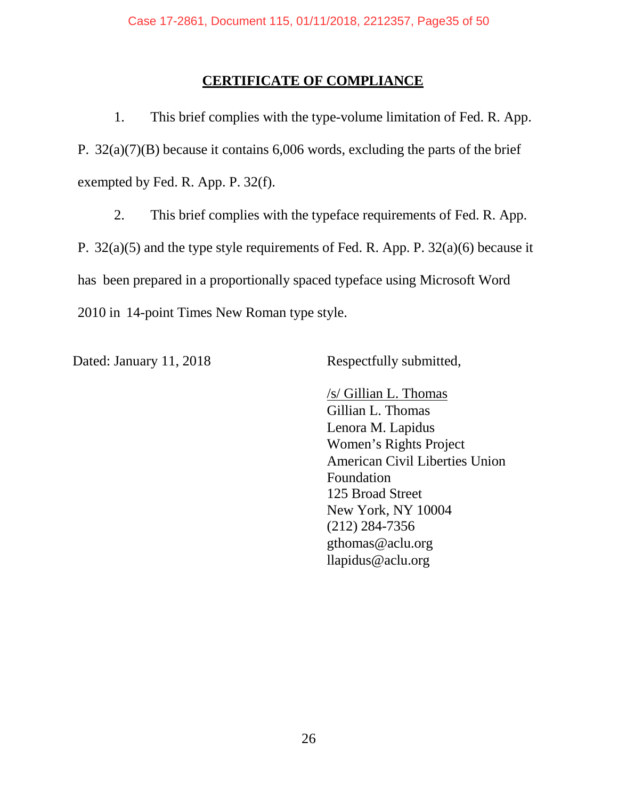## **CERTIFICATE OF COMPLIANCE**

1. This brief complies with the type-volume limitation of Fed. R. App. P. 32(a)(7)(B) because it contains 6,006 words, excluding the parts of the brief exempted by Fed. R. App. P. 32(f).

2. This brief complies with the typeface requirements of Fed. R. App. P. 32(a)(5) and the type style requirements of Fed. R. App. P. 32(a)(6) because it has been prepared in a proportionally spaced typeface using Microsoft Word 2010 in 14-point Times New Roman type style.

Dated: January 11, 2018 Respectfully submitted,

/s/ Gillian L. Thomas Gillian L. Thomas Lenora M. Lapidus Women's Rights Project American Civil Liberties Union Foundation 125 Broad Street New York, NY 10004 (212) 284-7356 [gthomas@aclu.org](mailto:eharrist@nyclu.org) llapidus@aclu.org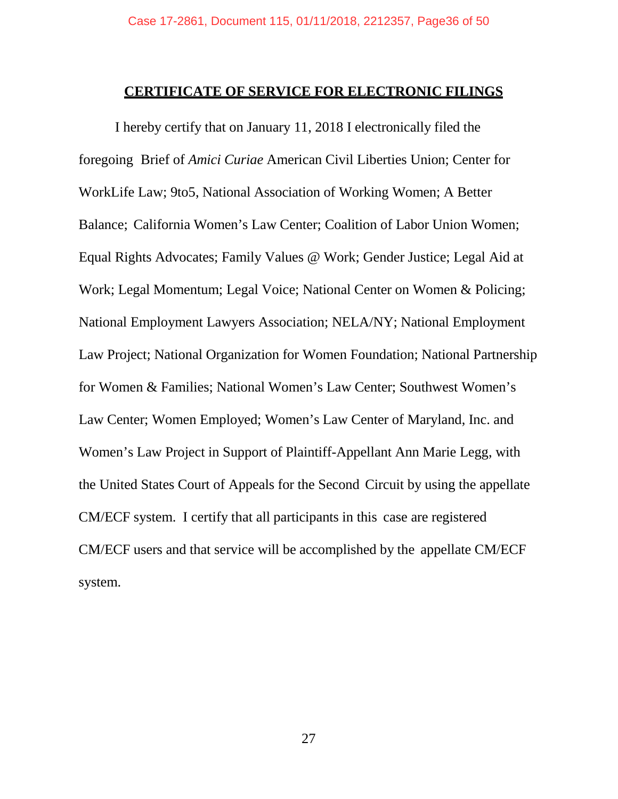### **CERTIFICATE OF SERVICE FOR ELECTRONIC FILINGS**

I hereby certify that on January 11, 2018 I electronically filed the foregoing Brief of *Amici Curiae* American Civil Liberties Union; Center for WorkLife Law; 9to5, National Association of Working Women; A Better Balance; California Women's Law Center; Coalition of Labor Union Women; Equal Rights Advocates; Family Values @ Work; Gender Justice; Legal Aid at Work; Legal Momentum; Legal Voice; National Center on Women & Policing; National Employment Lawyers Association; NELA/NY; National Employment Law Project; National Organization for Women Foundation; National Partnership for Women & Families; National Women's Law Center; Southwest Women's Law Center; Women Employed; Women's Law Center of Maryland, Inc. and Women's Law Project in Support of Plaintiff-Appellant Ann Marie Legg, with the United States Court of Appeals for the Second Circuit by using the appellate CM/ECF system. I certify that all participants in this case are registered CM/ECF users and that service will be accomplished by the appellate CM/ECF system.

27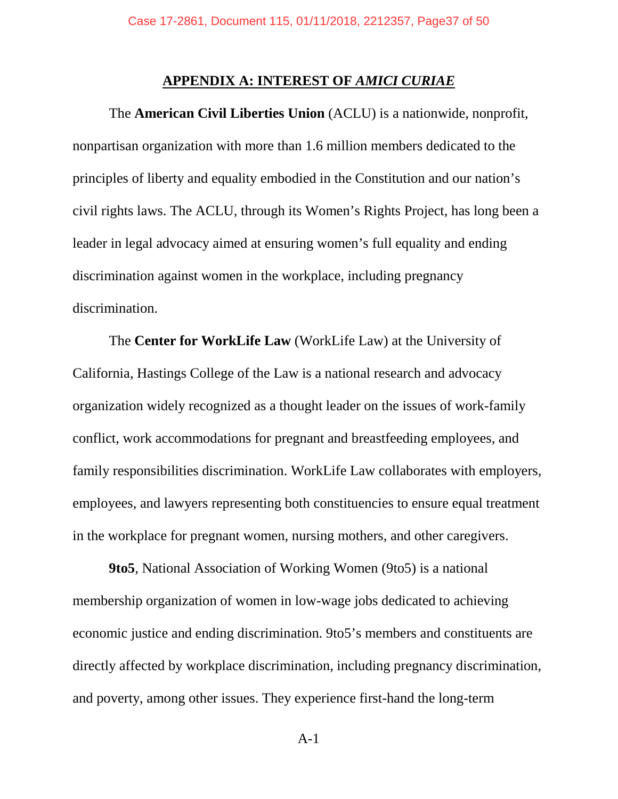#### **APPENDIX A: INTEREST OF** *AMICI CURIAE*

The **American Civil Liberties Union** (ACLU) is a nationwide, nonprofit, nonpartisan organization with more than 1.6 million members dedicated to the principles of liberty and equality embodied in the Constitution and our nation's civil rights laws. The ACLU, through its Women's Rights Project, has long been a leader in legal advocacy aimed at ensuring women's full equality and ending discrimination against women in the workplace, including pregnancy discrimination.

The **Center for WorkLife Law** (WorkLife Law) at the University of California, Hastings College of the Law is a national research and advocacy organization widely recognized as a thought leader on the issues of work-family conflict, work accommodations for pregnant and breastfeeding employees, and family responsibilities discrimination. WorkLife Law collaborates with employers, employees, and lawyers representing both constituencies to ensure equal treatment in the workplace for pregnant women, nursing mothers, and other caregivers.

**9to5**, National Association of Working Women (9to5) is a national membership organization of women in low-wage jobs dedicated to achieving economic justice and ending discrimination. 9to5's members and constituents are directly affected by workplace discrimination, including pregnancy discrimination, and poverty, among other issues. They experience first-hand the long-term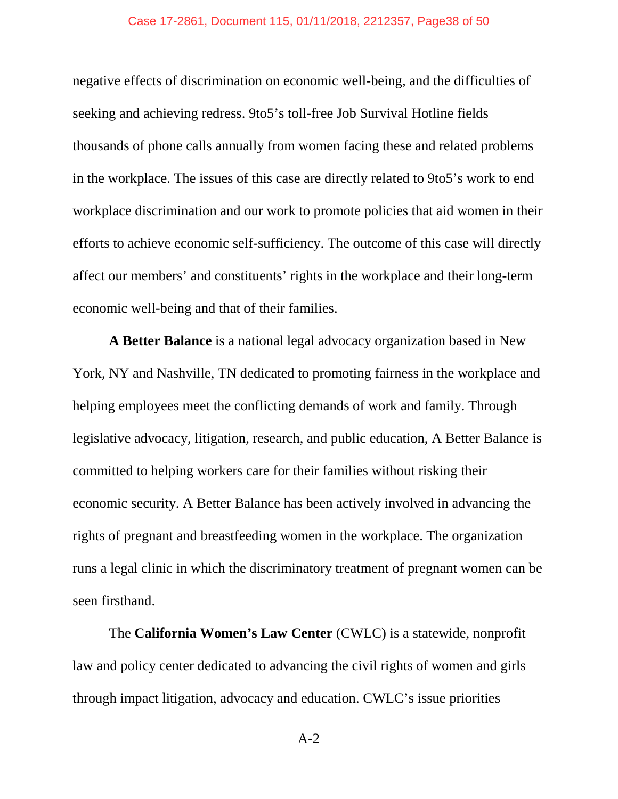#### Case 17-2861, Document 115, 01/11/2018, 2212357, Page38 of 50

negative effects of discrimination on economic well-being, and the difficulties of seeking and achieving redress. 9to5's toll-free Job Survival Hotline fields thousands of phone calls annually from women facing these and related problems in the workplace. The issues of this case are directly related to 9to5's work to end workplace discrimination and our work to promote policies that aid women in their efforts to achieve economic self-sufficiency. The outcome of this case will directly affect our members' and constituents' rights in the workplace and their long-term economic well-being and that of their families.

**A Better Balance** is a national legal advocacy organization based in New York, NY and Nashville, TN dedicated to promoting fairness in the workplace and helping employees meet the conflicting demands of work and family. Through legislative advocacy, litigation, research, and public education, A Better Balance is committed to helping workers care for their families without risking their economic security. A Better Balance has been actively involved in advancing the rights of pregnant and breastfeeding women in the workplace. The organization runs a legal clinic in which the discriminatory treatment of pregnant women can be seen firsthand.

The **California Women's Law Center** (CWLC) is a statewide, nonprofit law and policy center dedicated to advancing the civil rights of women and girls through impact litigation, advocacy and education. CWLC's issue priorities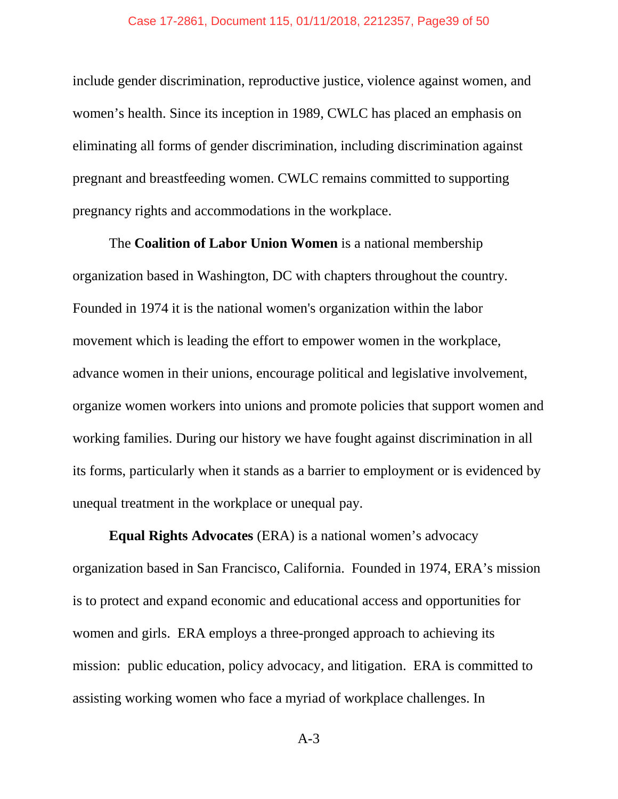include gender discrimination, reproductive justice, violence against women, and women's health. Since its inception in 1989, CWLC has placed an emphasis on eliminating all forms of gender discrimination, including discrimination against pregnant and breastfeeding women. CWLC remains committed to supporting pregnancy rights and accommodations in the workplace.

The **Coalition of Labor Union Women** is a national membership organization based in Washington, DC with chapters throughout the country. Founded in 1974 it is the national women's organization within the labor movement which is leading the effort to empower women in the workplace, advance women in their unions, encourage political and legislative involvement, organize women workers into unions and promote policies that support women and working families. During our history we have fought against discrimination in all its forms, particularly when it stands as a barrier to employment or is evidenced by unequal treatment in the workplace or unequal pay.

**Equal Rights Advocates** (ERA) is a national women's advocacy organization based in San Francisco, California. Founded in 1974, ERA's mission is to protect and expand economic and educational access and opportunities for women and girls. ERA employs a three-pronged approach to achieving its mission: public education, policy advocacy, and litigation. ERA is committed to assisting working women who face a myriad of workplace challenges. In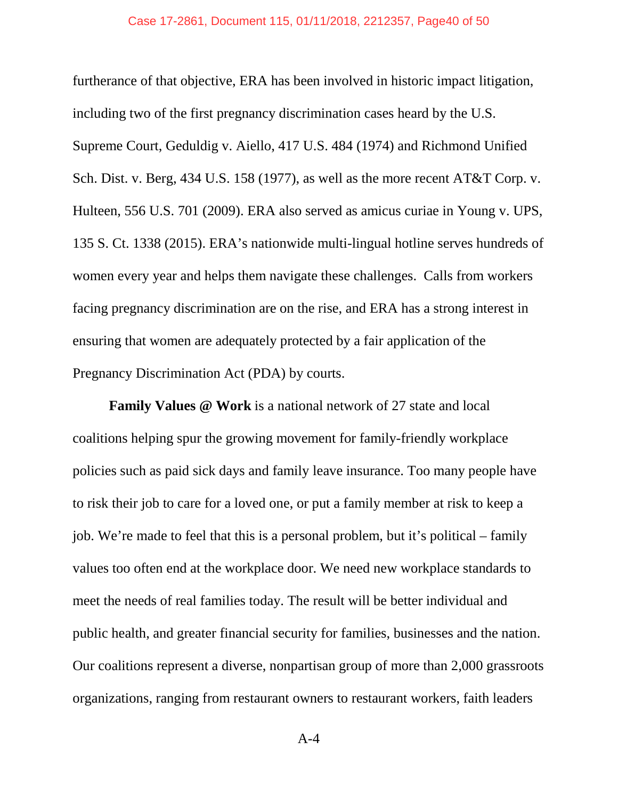furtherance of that objective, ERA has been involved in historic impact litigation, including two of the first pregnancy discrimination cases heard by the U.S. Supreme Court, Geduldig v. Aiello, 417 U.S. 484 (1974) and Richmond Unified Sch. Dist. v. Berg, 434 U.S. 158 (1977), as well as the more recent AT&T Corp. v. Hulteen, 556 U.S. 701 (2009). ERA also served as amicus curiae in Young v. UPS, 135 S. Ct. 1338 (2015). ERA's nationwide multi-lingual hotline serves hundreds of women every year and helps them navigate these challenges. Calls from workers facing pregnancy discrimination are on the rise, and ERA has a strong interest in ensuring that women are adequately protected by a fair application of the Pregnancy Discrimination Act (PDA) by courts.

**Family Values @ Work** is a national network of 27 state and local coalitions helping spur the growing movement for family-friendly workplace policies such as paid sick days and family leave insurance. Too many people have to risk their job to care for a loved one, or put a family member at risk to keep a job. We're made to feel that this is a personal problem, but it's political – family values too often end at the workplace door. We need new workplace standards to meet the needs of real families today. The result will be better individual and public health, and greater financial security for families, businesses and the nation. Our coalitions represent a diverse, nonpartisan group of more than 2,000 grassroots organizations, ranging from restaurant owners to restaurant workers, faith leaders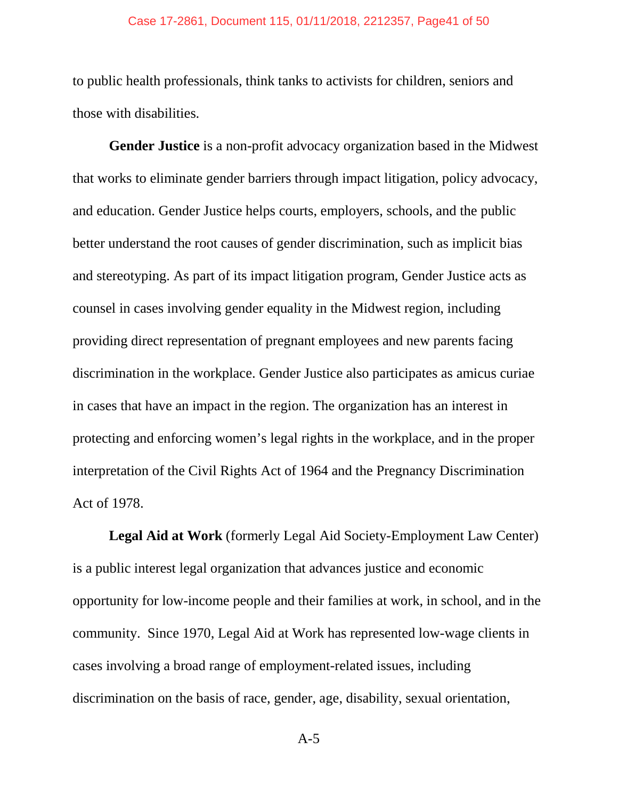#### Case 17-2861, Document 115, 01/11/2018, 2212357, Page41 of 50

to public health professionals, think tanks to activists for children, seniors and those with disabilities.

**Gender Justice** is a non-profit advocacy organization based in the Midwest that works to eliminate gender barriers through impact litigation, policy advocacy, and education. Gender Justice helps courts, employers, schools, and the public better understand the root causes of gender discrimination, such as implicit bias and stereotyping. As part of its impact litigation program, Gender Justice acts as counsel in cases involving gender equality in the Midwest region, including providing direct representation of pregnant employees and new parents facing discrimination in the workplace. Gender Justice also participates as amicus curiae in cases that have an impact in the region. The organization has an interest in protecting and enforcing women's legal rights in the workplace, and in the proper interpretation of the Civil Rights Act of 1964 and the Pregnancy Discrimination Act of 1978.

**Legal Aid at Work** (formerly Legal Aid Society-Employment Law Center) is a public interest legal organization that advances justice and economic opportunity for low-income people and their families at work, in school, and in the community. Since 1970, Legal Aid at Work has represented low-wage clients in cases involving a broad range of employment-related issues, including discrimination on the basis of race, gender, age, disability, sexual orientation,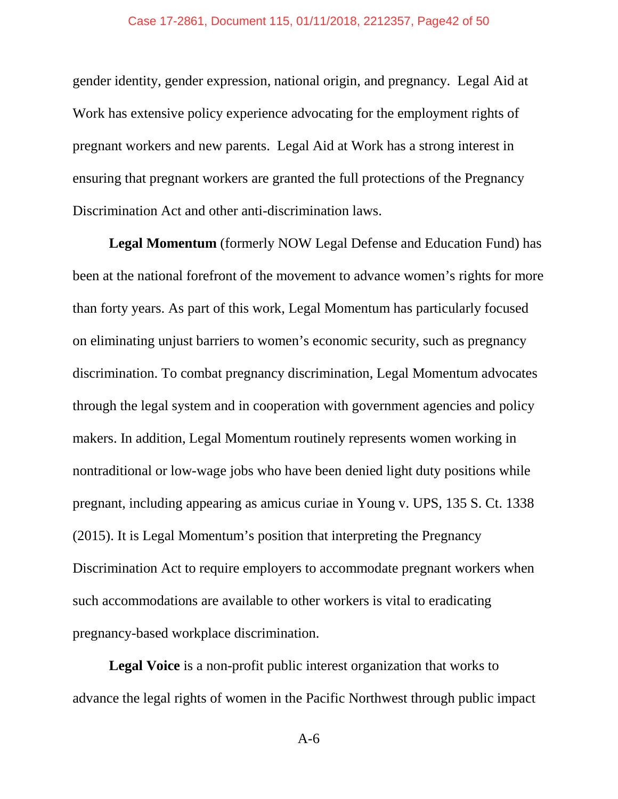gender identity, gender expression, national origin, and pregnancy. Legal Aid at Work has extensive policy experience advocating for the employment rights of pregnant workers and new parents. Legal Aid at Work has a strong interest in ensuring that pregnant workers are granted the full protections of the Pregnancy Discrimination Act and other anti-discrimination laws.

**Legal Momentum** (formerly NOW Legal Defense and Education Fund) has been at the national forefront of the movement to advance women's rights for more than forty years. As part of this work, Legal Momentum has particularly focused on eliminating unjust barriers to women's economic security, such as pregnancy discrimination. To combat pregnancy discrimination, Legal Momentum advocates through the legal system and in cooperation with government agencies and policy makers. In addition, Legal Momentum routinely represents women working in nontraditional or low-wage jobs who have been denied light duty positions while pregnant, including appearing as amicus curiae in Young v. UPS, 135 S. Ct. 1338 (2015). It is Legal Momentum's position that interpreting the Pregnancy Discrimination Act to require employers to accommodate pregnant workers when such accommodations are available to other workers is vital to eradicating pregnancy-based workplace discrimination.

**Legal Voice** is a non-profit public interest organization that works to advance the legal rights of women in the Pacific Northwest through public impact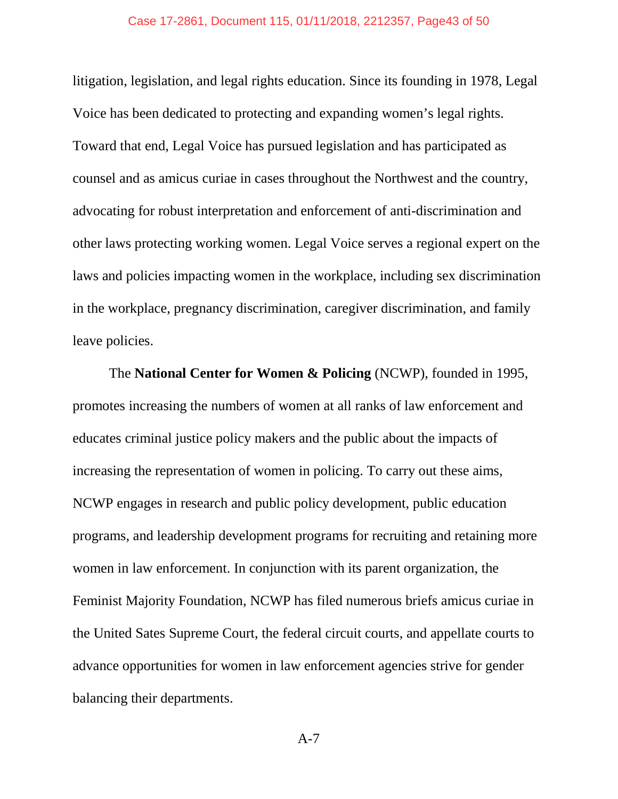#### Case 17-2861, Document 115, 01/11/2018, 2212357, Page43 of 50

litigation, legislation, and legal rights education. Since its founding in 1978, Legal Voice has been dedicated to protecting and expanding women's legal rights. Toward that end, Legal Voice has pursued legislation and has participated as counsel and as amicus curiae in cases throughout the Northwest and the country, advocating for robust interpretation and enforcement of anti-discrimination and other laws protecting working women. Legal Voice serves a regional expert on the laws and policies impacting women in the workplace, including sex discrimination in the workplace, pregnancy discrimination, caregiver discrimination, and family leave policies.

The **National Center for Women & Policing** (NCWP), founded in 1995, promotes increasing the numbers of women at all ranks of law enforcement and educates criminal justice policy makers and the public about the impacts of increasing the representation of women in policing. To carry out these aims, NCWP engages in research and public policy development, public education programs, and leadership development programs for recruiting and retaining more women in law enforcement. In conjunction with its parent organization, the Feminist Majority Foundation, NCWP has filed numerous briefs amicus curiae in the United Sates Supreme Court, the federal circuit courts, and appellate courts to advance opportunities for women in law enforcement agencies strive for gender balancing their departments.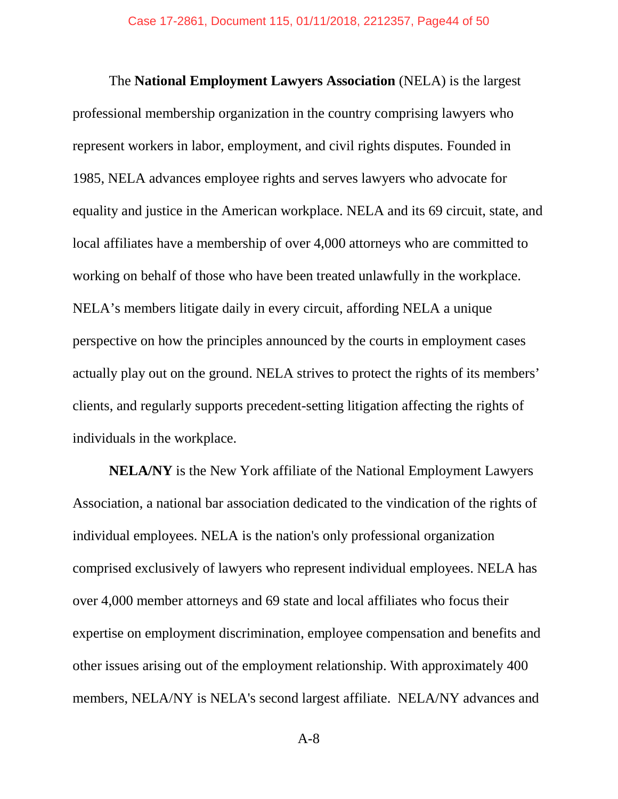The **National Employment Lawyers Association** (NELA) is the largest professional membership organization in the country comprising lawyers who represent workers in labor, employment, and civil rights disputes. Founded in 1985, NELA advances employee rights and serves lawyers who advocate for equality and justice in the American workplace. NELA and its 69 circuit, state, and local affiliates have a membership of over 4,000 attorneys who are committed to working on behalf of those who have been treated unlawfully in the workplace. NELA's members litigate daily in every circuit, affording NELA a unique perspective on how the principles announced by the courts in employment cases actually play out on the ground. NELA strives to protect the rights of its members' clients, and regularly supports precedent-setting litigation affecting the rights of individuals in the workplace.

**NELA/NY** is the New York affiliate of the National Employment Lawyers Association, a national bar association dedicated to the vindication of the rights of individual employees. NELA is the nation's only professional organization comprised exclusively of lawyers who represent individual employees. NELA has over 4,000 member attorneys and 69 state and local affiliates who focus their expertise on employment discrimination, employee compensation and benefits and other issues arising out of the employment relationship. With approximately 400 members, NELA/NY is NELA's second largest affiliate. NELA/NY advances and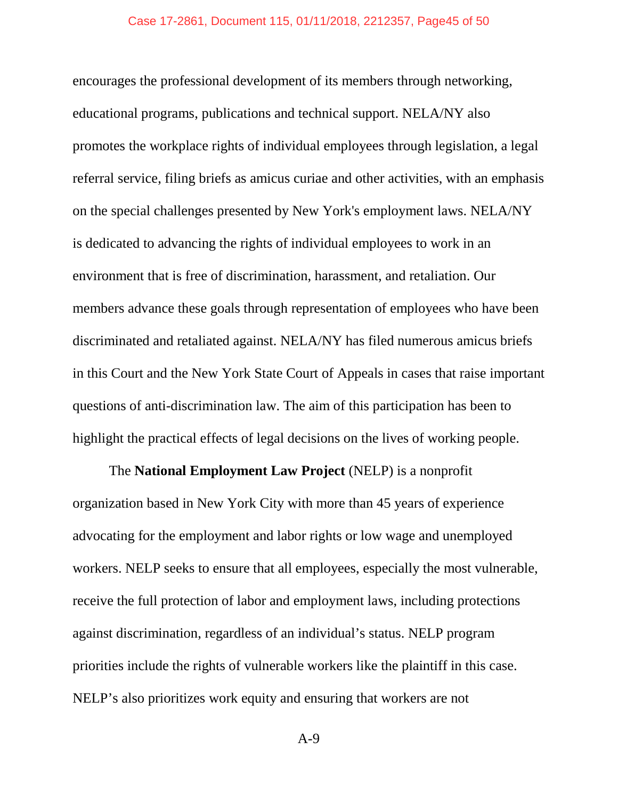#### Case 17-2861, Document 115, 01/11/2018, 2212357, Page45 of 50

encourages the professional development of its members through networking, educational programs, publications and technical support. NELA/NY also promotes the workplace rights of individual employees through legislation, a legal referral service, filing briefs as amicus curiae and other activities, with an emphasis on the special challenges presented by New York's employment laws. NELA/NY is dedicated to advancing the rights of individual employees to work in an environment that is free of discrimination, harassment, and retaliation. Our members advance these goals through representation of employees who have been discriminated and retaliated against. NELA/NY has filed numerous amicus briefs in this Court and the New York State Court of Appeals in cases that raise important questions of anti-discrimination law. The aim of this participation has been to highlight the practical effects of legal decisions on the lives of working people.

The **National Employment Law Project** (NELP) is a nonprofit organization based in New York City with more than 45 years of experience advocating for the employment and labor rights or low wage and unemployed workers. NELP seeks to ensure that all employees, especially the most vulnerable, receive the full protection of labor and employment laws, including protections against discrimination, regardless of an individual's status. NELP program priorities include the rights of vulnerable workers like the plaintiff in this case. NELP's also prioritizes work equity and ensuring that workers are not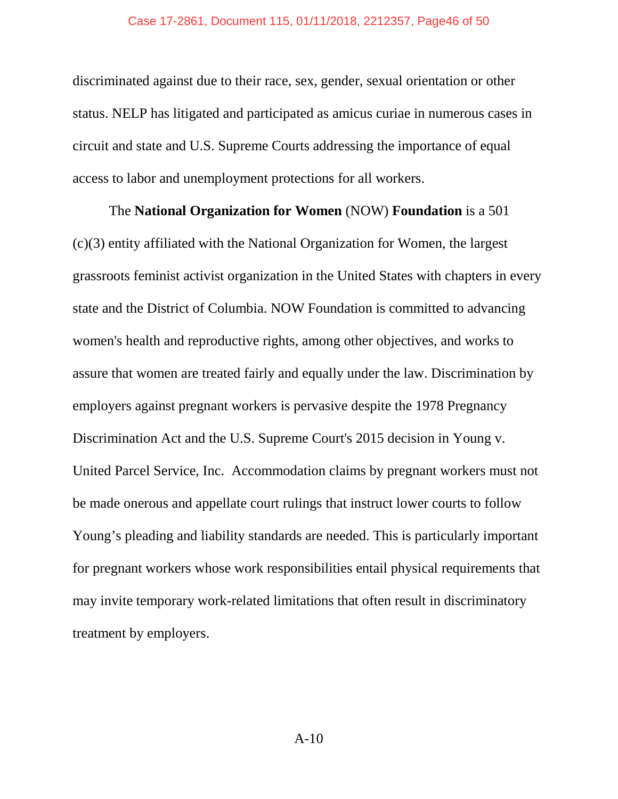#### Case 17-2861, Document 115, 01/11/2018, 2212357, Page46 of 50

discriminated against due to their race, sex, gender, sexual orientation or other status. NELP has litigated and participated as amicus curiae in numerous cases in circuit and state and U.S. Supreme Courts addressing the importance of equal access to labor and unemployment protections for all workers.

The **National Organization for Women** (NOW) **Foundation** is a 501 (c)(3) entity affiliated with the National Organization for Women, the largest grassroots feminist activist organization in the United States with chapters in every state and the District of Columbia. NOW Foundation is committed to advancing women's health and reproductive rights, among other objectives, and works to assure that women are treated fairly and equally under the law. Discrimination by employers against pregnant workers is pervasive despite the 1978 Pregnancy Discrimination Act and the U.S. Supreme Court's 2015 decision in Young v. United Parcel Service, Inc. Accommodation claims by pregnant workers must not be made onerous and appellate court rulings that instruct lower courts to follow Young's pleading and liability standards are needed. This is particularly important for pregnant workers whose work responsibilities entail physical requirements that may invite temporary work-related limitations that often result in discriminatory treatment by employers.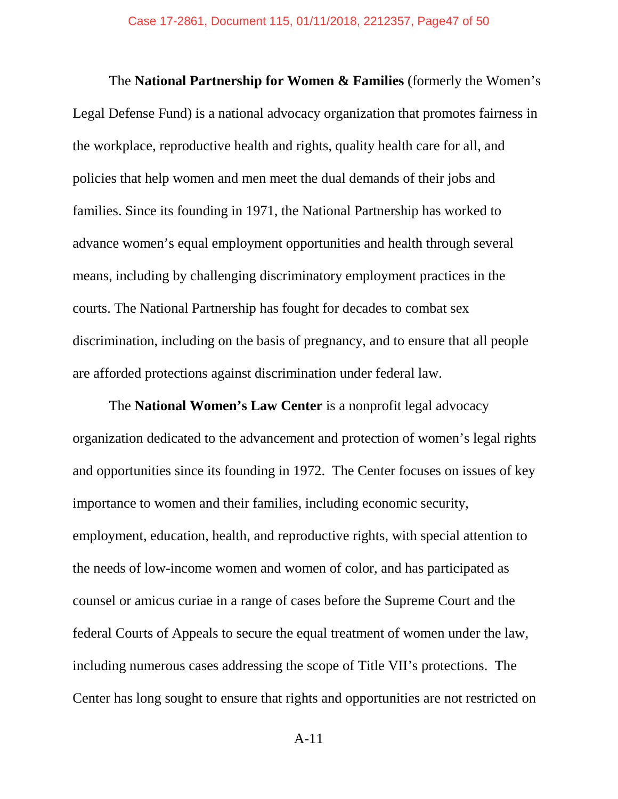The **National Partnership for Women & Families** (formerly the Women's Legal Defense Fund) is a national advocacy organization that promotes fairness in the workplace, reproductive health and rights, quality health care for all, and policies that help women and men meet the dual demands of their jobs and families. Since its founding in 1971, the National Partnership has worked to advance women's equal employment opportunities and health through several means, including by challenging discriminatory employment practices in the courts. The National Partnership has fought for decades to combat sex discrimination, including on the basis of pregnancy, and to ensure that all people are afforded protections against discrimination under federal law.

The **National Women's Law Center** is a nonprofit legal advocacy organization dedicated to the advancement and protection of women's legal rights and opportunities since its founding in 1972. The Center focuses on issues of key importance to women and their families, including economic security, employment, education, health, and reproductive rights, with special attention to the needs of low-income women and women of color, and has participated as counsel or amicus curiae in a range of cases before the Supreme Court and the federal Courts of Appeals to secure the equal treatment of women under the law, including numerous cases addressing the scope of Title VII's protections. The Center has long sought to ensure that rights and opportunities are not restricted on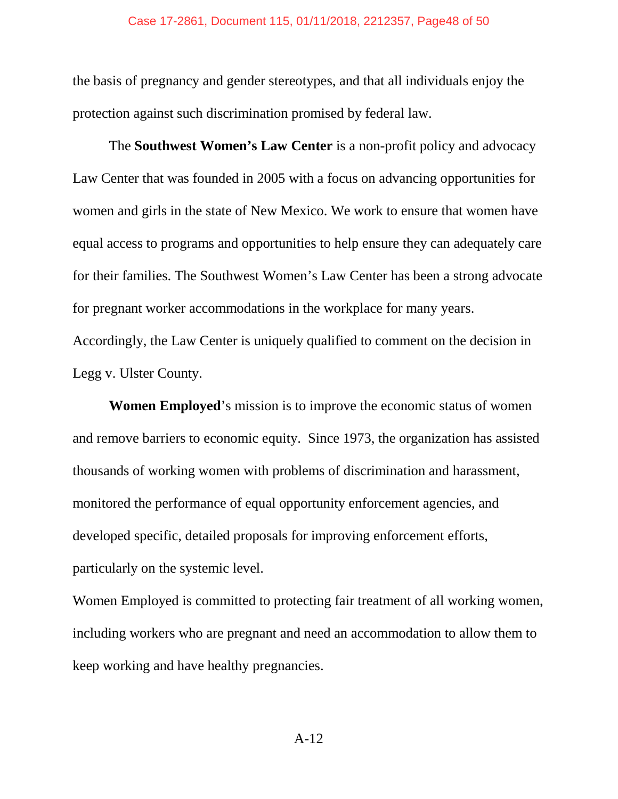the basis of pregnancy and gender stereotypes, and that all individuals enjoy the protection against such discrimination promised by federal law.

The **Southwest Women's Law Center** is a non-profit policy and advocacy Law Center that was founded in 2005 with a focus on advancing opportunities for women and girls in the state of New Mexico. We work to ensure that women have equal access to programs and opportunities to help ensure they can adequately care for their families. The Southwest Women's Law Center has been a strong advocate for pregnant worker accommodations in the workplace for many years.

Accordingly, the Law Center is uniquely qualified to comment on the decision in Legg v. Ulster County.

**Women Employed**'s mission is to improve the economic status of women and remove barriers to economic equity. Since 1973, the organization has assisted thousands of working women with problems of discrimination and harassment, monitored the performance of equal opportunity enforcement agencies, and developed specific, detailed proposals for improving enforcement efforts, particularly on the systemic level.

Women Employed is committed to protecting fair treatment of all working women, including workers who are pregnant and need an accommodation to allow them to keep working and have healthy pregnancies.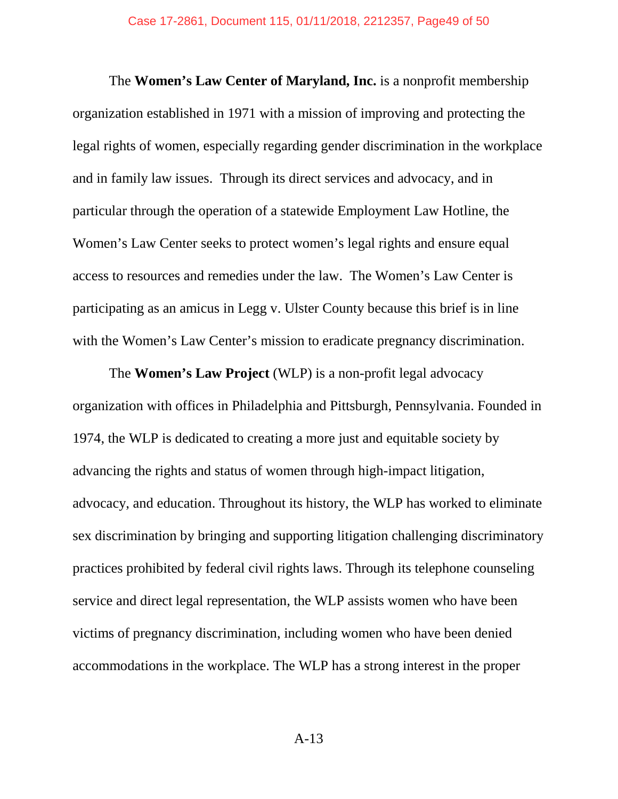The **Women's Law Center of Maryland, Inc.** is a nonprofit membership organization established in 1971 with a mission of improving and protecting the legal rights of women, especially regarding gender discrimination in the workplace and in family law issues. Through its direct services and advocacy, and in particular through the operation of a statewide Employment Law Hotline, the Women's Law Center seeks to protect women's legal rights and ensure equal access to resources and remedies under the law. The Women's Law Center is participating as an amicus in Legg v. Ulster County because this brief is in line with the Women's Law Center's mission to eradicate pregnancy discrimination.

The **Women's Law Project** (WLP) is a non-profit legal advocacy organization with offices in Philadelphia and Pittsburgh, Pennsylvania. Founded in 1974, the WLP is dedicated to creating a more just and equitable society by advancing the rights and status of women through high-impact litigation, advocacy, and education. Throughout its history, the WLP has worked to eliminate sex discrimination by bringing and supporting litigation challenging discriminatory practices prohibited by federal civil rights laws. Through its telephone counseling service and direct legal representation, the WLP assists women who have been victims of pregnancy discrimination, including women who have been denied accommodations in the workplace. The WLP has a strong interest in the proper